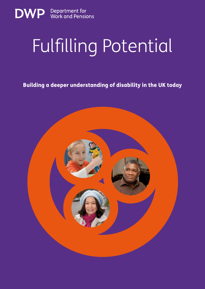

# Fulfilling Potential

Building a deeper understanding of disability in the UK today

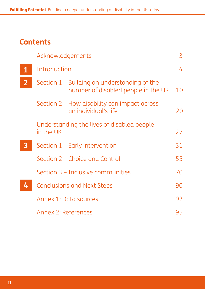#### **Contents**

|                | Acknowledgements                                                                    | 3  |
|----------------|-------------------------------------------------------------------------------------|----|
| $\mathbf 1$    | Introduction                                                                        | 4  |
| $\overline{2}$ | Section 1 – Building an understanding of the<br>number of disabled people in the UK | 10 |
|                | Section 2 – How disability can impact across<br>an individual's life                | 20 |
|                | Understanding the lives of disabled people<br>in the UK                             | 27 |
| $\mathbf{3}$   | Section 1 - Early intervention                                                      | 31 |
|                | Section 2 – Choice and Control                                                      | 55 |
|                | Section 3 - Inclusive communities                                                   | 70 |
| 4              | <b>Conclusions and Next Steps</b>                                                   | 90 |
|                | Annex 1: Data sources                                                               | 92 |
|                | Annex 2: References                                                                 | 95 |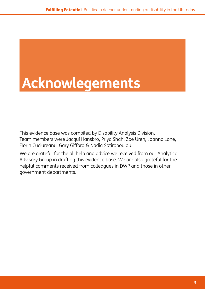# **Acknowlegements**

This evidence base was compiled by Disability Analysis Division. Team members were Jacqui Hansbro, Priya Shah, Zoe Uren, Joanna Lone, Florin Cuciureanu, Gary Gifford & Nadia Sotiropoulou.

We are grateful for the all help and advice we received from our Analytical Advisory Group in drafting this evidence base. We are also grateful for the helpful comments received from colleagues in DWP and those in other government departments.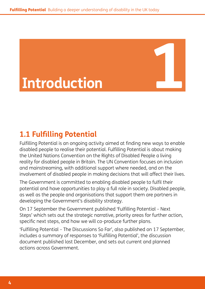# **Introduction**

## **1.1 Fulfilling Potential**

Fulfilling Potential is an ongoing activity aimed at finding new ways to enable disabled people to realise their potential. Fulfilling Potential is about making the United Nations Convention on the Rights of Disabled People a living reality for disabled people in Britain. The UN Convention focuses on inclusion and mainstreaming, with additional support where needed, and on the involvement of disabled people in making decisions that will affect their lives.

The Government is committed to enabling disabled people to fulfil their potential and have opportunities to play a full role in society. Disabled people, as well as the people and organisations that support them are partners in developing the Government's disability strategy.

On 17 September the Government published 'Fulfilling Potential *–* Next Steps' which sets out the strategic narrative, priority areas for further action, specific next steps, and how we will co-produce further plans.

'Fulfilling Potential *–* The Discussions So Far', also published on 17 September, includes a summary of responses to 'Fulfilling Potential', the discussion document published last December, and sets out current and planned actions across Government.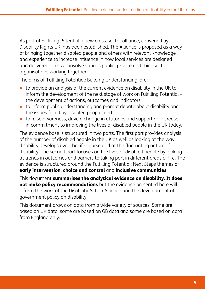As part of Fulfilling Potential a new cross-sector alliance, convened by Disability Rights UK, has been established. The Alliance is proposed as a way of bringing together disabled people and others with relevant knowledge and experience to increase influence in how local services are designed and delivered. This will involve various public, private and third sector organisations working together.

The aims of 'Fulfilling Potential: Building Understanding' are:

- to provide an analysis of the current evidence on disability in the UK to inform the development of the next stage of work on Fulfilling Potential – the development of actions, outcomes and indicators;
- to inform public understanding and prompt debate about disability and the issues faced by disabled people; and
- to raise awareness, drive a change in attitudes and support an increase in commitment to improving the lives of disabled people in the UK today.

The evidence base is structured in two parts. The first part provides analysis of the number of disabled people in the UK as well as looking at the way disability develops over the life course and at the fluctuating nature of disability. The second part focuses on the lives of disabled people by looking at trends in outcomes and barriers to taking part in different areas of life. The evidence is structured around the Fulfilling Potential: Next Steps themes of early intervention; choice and control and inclusive communities.

This document summarises the analytical evidence on disability. It does not make policy recommendations but the evidence presented here will inform the work of the Disability Action Alliance and the development of government policy on disability.

This document draws on data from a wide variety of sources. Some are based on UK data, some are based on GB data and some are based on data from England only.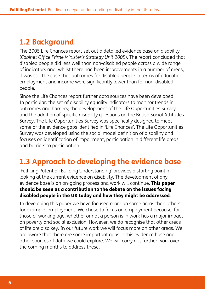## <span id="page-5-0"></span>**1.2 Background**

The 2005 Life Chances report set out a detailed evidence base on disability (*Cabinet Office Prime Minister's Strategy Unit 2005*). The report concluded that disabled people did less well than non-disabled people across a wide range of indicators and, whilst there had been improvements in a number of areas, it was still the case that outcomes for disabled people in terms of education, employment and income were significantly lower than for non-disabled people.

Since the Life Chances report further data sources have been developed. In particular: the set of disability equality indicators to monitor trends in outcomes and barriers; the development of the Life Opportunities Survey and the addition of specific disability questions on the British Social Attitudes Survey. The Life Opportunities Survey was specifically designed to meet some of the evidence gaps identified in 'Life Chances'. The Life Opportunities Survey was developed using the social model definition of disability and focuses on identification of impairment, participation in different life areas and barriers to participation.

## **1.3 Approach to developing the evidence base**

'Fulfilling Potential: Building Understanding' provides a starting point in looking at the current evidence on disability. The development of any evidence base is an on-going process and work will continue. This paper should be seen as a contribution to the debate on the issues facing disabled people in the UK today and how they might be addressed.

In developing this paper we have focused more on some areas than others, for example, employment. We chose to focus on employment because, for those of working age, whether or not a person is in work has a major impact on poverty and social exclusion. However, we do recognise that other areas of life are also key. In our future work we will focus more on other areas. We are aware that there are some important gaps in this evidence base and other sources of data we could explore. We will carry out further work over the coming months to address these.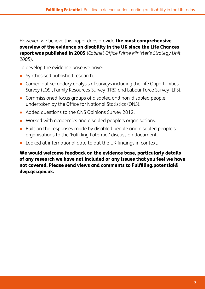However, we believe this paper does provide the most comprehensive overview of the evidence on disability in the UK since the Life Chances report was published in 2005 (*Cabinet Office Prime Minister's Strategy Unit 2005*).

To develop the evidence base we have:

- Synthesised published research.
- Carried out secondary analysis of surveys including the Life Opportunities Survey (LOS), Family Resources Survey (FRS) and Labour Force Survey (LFS).
- Commissioned focus groups of disabled and non-disabled people. undertaken by the Office for National Statistics (ONS).
- Added questions to the ONS Opinions Survey 2012.
- Worked with academics and disabled people's organisations.
- Built on the responses made by disabled people and disabled people's organisations to the 'Fulfilling Potential' discussion document.
- Looked at international data to put the UK findings in context.

We would welcome feedback on the evidence base, particularly details of any research we have not included or any issues that you feel we have not covered. Please send views and comments to [Fulfilling.potential@](Fulfilling.potential@dwp.gsi.gov.uk) [dwp.gsi.gov.uk.](Fulfilling.potential@dwp.gsi.gov.uk)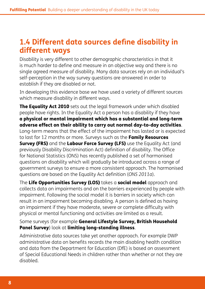#### **1.4 Different data sources define disability in different ways**

Disability is very different to other demographic characteristics in that it is much harder to define and measure in an objective way and there is no single agreed measure of disability. Many data sources rely on an individual's self-perception in the way survey questions are answered in order to establish if they are disabled or not.

In developing this evidence base we have used a variety of different sources which measure disability in different ways.

The Equality Act 2010 sets out the legal framework under which disabled people have rights. In the Equality Act a person has a disability if they have a physical or mental impairment which has a substantial and long-term adverse effect on their ability to carry out normal day-to-day activities. Long-term means that the effect of the impairment has lasted or is expected to last for 12 months or more. Surveys such as the Family Resources Survey (FRS) and the Labour Force Survey (LFS) use the Equality Act (and previously Disability Discrimination Act) definition of disability. The Office for National Statistics (ONS) has recently published a set of harmonised questions on disability which will gradually be introduced across a range of government surveys to ensure a more consistent approach. The harmonised questions are based on the Equality Act definition (*ONS 2011a*).

The Life Opportunities Survey (LOS) takes a social model approach and collects data on impairments and on the barriers experienced by people with impairment. Following the social model it is barriers in society which can result in an impairment becoming disabling. A person is defined as having an impairment if they have moderate, severe or complete difficulty with physical or mental functioning and activities are limited as a result.

Some surveys (for example General Lifestyle Survey, British Household Panel Survey) look at limiting long-standing illness.

Administrative data sources take yet another approach. For example DWP administrative data on benefits records the main disabling health condition and data from the Department for Education (DfE) is based on assessment of Special Educational Needs in children rather than whether or not they are disabled.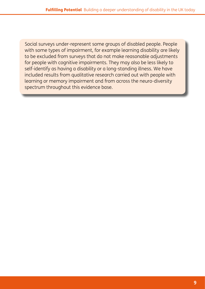Social surveys under-represent some groups of disabled people. People with some types of impairment, for example learning disability are likely to be excluded from surveys that do not make reasonable adjustments for people with cognitive impairments. They may also be less likely to self-identify as having a disability or a long-standing illness. We have included results from qualitative research carried out with people with learning or memory impairment and from across the neuro-diversity spectrum throughout this evidence base.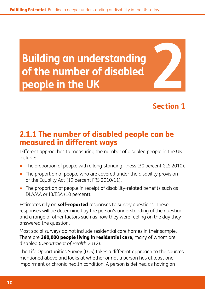<span id="page-9-0"></span>**Building an understanding of the number of disabled Puilding an understanding<br>
of the number of disabled<br>
people in the UK<br>
<b>224 Prople in the UK** 

**Section 1**

#### 2.1.1 The number of disabled people can be measured in different ways

Different approaches to measuring the number of disabled people in the UK include:

- The proportion of people with a long-standing illness (30 percent GLS 2010).
- The proportion of people who are covered under the disability provision of the Equality Act (19 percent FRS 2010/11).
- The proportion of people in receipt of disability-related benefits such as DLA/AA or IB/ESA (10 percent).

Estimates rely on **self-reported** responses to survey questions. These responses will be determined by the person's understanding of the question and a range of other factors such as how they were feeling on the day they answered the question.

Most social surveys do not include residential care homes in their sample. There are 380,000 people living in residential care, many of whom are disabled (*Department of Health 2012*).

The Life Opportunities Survey (LOS) takes a different approach to the sources mentioned above and looks at whether or not a person has at least one impairment or chronic health condition. A person is defined as having an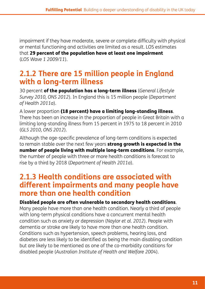impairment if they have moderate, severe or complete difficulty with physical or mental functioning and activities are limited as a result. LOS estimates that 29 percent of the population have at least one impairment (*LOS Wave 1 2009/11*).

#### **2.1.2 There are 15 million people in England with a long-term illness**

30 percent of the population has a long-term illness (*General Lifestyle Survey 2010, ONS 2012*). In England this is 15 million people (*Department of Health 2011a*).

A lower proportion (18 percent) have a limiting long-standing illness. There has been an increase in the proportion of people in Great Britain with a limiting long-standing illness from 15 percent in 1975 to 18 percent in 2010 (*GLS 2010, ONS 2012*).

Although the age-specific prevalence of long-term conditions is expected to remain stable over the next few years strong growth is expected in the number of people living with multiple long-term conditions. For example, the number of people with three or more health conditions is forecast to rise by a third by 2018 (*Department of Health 2011a*).

#### **2.1.3 Health conditions are associated with different impairments and many people have more than one health condition**

#### Disabled people are often vulnerable to secondary health conditions.

Many people have more than one health condition. Nearly a third of people with long-term physical conditions have a concurrent mental health condition such as anxiety or depression (*Naylor et al. 2012*). People with dementia or stroke are likely to have more than one health condition. Conditions such as hypertension, speech problems, hearing loss, and diabetes are less likely to be identified as being the main disabling condition but are likely to be mentioned as one of the co-morbidity conditions for disabled people (*Australian Institute of Health and Welfare 2004*).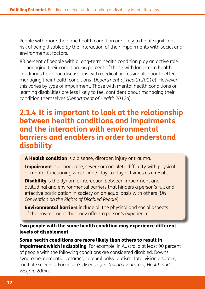People with more than one health condition are likely to be at significant risk of being disabled by the interaction of their impairments with social and environmental factors.

83 percent of people with a long-term health condition play an active role in managing their condition. 66 percent of those with long-term health conditions have had discussions with medical professionals about better managing their health conditions (*Department of Health 2011a*). However, this varies by type of impairment. Those with mental health conditions or learning disabilities are less likely to feel confident about managing their condition themselves (*Department of Health 2012a*).

#### **2.1.4 It is important to look at the relationship between health conditions and impairments and the interaction with environmental barriers and enablers in order to understand disability**

A Health condition is a disease, disorder, injury or trauma.

**Impairment** is a moderate, severe or complete difficulty with physical or mental functioning which limits day-to-day activities as a result.

**Disability** is the dynamic interaction between impairment and attitudinal and environmental barriers that hinders a person's full and effective participation in society on an equal basis with others (*UN Convention on the Rights of Disabled People*).

Environmental barriers include all the physical and social aspects of the environment that may affect a person's experience.

Two people with the same health condition may experience different levels of disablement.

Some health conditions are more likely than others to result in **impairment which is disabling**. For example, in Australia at least 90 percent of people with the following conditions are considered disabled: Downs syndrome, dementia, cataract, cerebral palsy, autism, total vision disorder, multiple sclerosis, Parkinson's disease (*Australian Institute of Health and Welfare 2004*).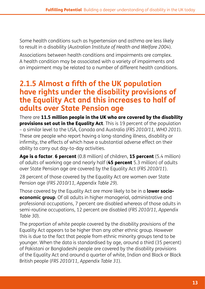Some health conditions such as hypertension and asthma are less likely to result in a disability (*Australian Institute of Health and Welfare 2004*).

Associations between health conditions and impairments are complex. A health condition may be associated with a variety of impairments and an impairment may be related to a number of different health conditions.

#### **2.1.5 Almost a fifth of the UK population have rights under the disability provisions of the Equality Act and this increases to half of adults over State Pension age**

There are 11.5 million people in the UK who are covered by the disability provisions set out in the Equality Act. This is 19 percent of the population – a similar level to the USA, Canada and Australia (*FRS 2010/11, WHO 2011*). These are people who report having a long-standing illness, disability or infirmity, the effects of which have a substantial adverse effect on their ability to carry out day-to-day activities.

Age is a factor. 6 percent (0.8 million) of children, 15 percent (5.4 million) of adults of working age and nearly half (45 percent 5.3 million) of adults over State Pension age are covered by the Equality Act (*FRS 2010/11*).

28 percent of those covered by the Equality Act are women over State Pension age (*FRS 2010/11, Appendix Table 29*).

Those covered by the Equality Act are more likely to be in a **lower socioeconomic group**. Of all adults in higher managerial, administrative and professional occupations, 7 percent are disabled whereas of those adults in semi-routine occupations, 12 percent are disabled (*FRS 2010/11, Appendix Table 30*).

The proportion of white people covered by the disability provisions of the Equality Act appears to be higher than any other ethnic group. However this is due to the fact that people from ethnic minority groups tend to be younger. When the data is standardised by age, around a third (35 percent) of Pakistani or Bangladeshi people are covered by the disability provisions of the Equality Act and around a quarter of white, Indian and Black or Black British people (*FRS 2010/11, Appendix Table 31*).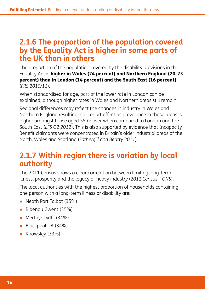#### **2.1.6 The proportion of the population covered by the Equality Act is higher in some parts of the UK than in others**

The proportion of the population covered by the disability provisions in the Equality Act is higher in Wales (24 percent) and Northern England (20-23 percent) than in London (14 percent) and the South East (16 percent) (*FRS 2010/11*).

When standardised for age, part of the lower rate in London can be explained, although higher rates in Wales and Northern areas still remain.

Regional differences may reflect the changes in industry in Wales and Northern England resulting in a cohort effect as prevalence in those areas is higher amongst those aged 55 or over when compared to London and the South East (*LFS Q2 2012*). This is also supported by evidence that Incapacity Benefit claimants were concentrated in Britain's older industrial areas of the North, Wales and Scotland (*Fothergill and Beatty 2011*).

#### **2.1.7 Within region there is variation by local authority**

The 2011 Census shows a clear correlation between limiting long-term illness, prosperity and the legacy of heavy industry (*2011 Census – ONS*).

The local authorities with the highest proportion of households containing one person with a long-term illness or disability are:

- Neath Port Talbot (35%)
- Blaenau Gwent (35%)
- Merthyr Tydfil (34%)
- Blackpool UA (34%)
- Knowsley (33%)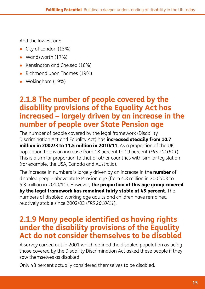And the lowest are:

- City of London (15%)
- Wandsworth (17%)
- Kensington and Chelsea (18%)
- Richmond upon Thames (19%)
- Wokingham (19%)

#### **2.1.8 The number of people covered by the disability provisions of the Equality Act has increased – largely driven by an increase in the number of people over State Pension age**

The number of people covered by the legal framework (Disability Discrimination Act and Equality Act) has increased steadily from 10.7 million in 2002/3 to 11.5 million in 2010/11. As a proportion of the UK population this is an increase from 18 percent to 19 percent (*FRS 2010/11*). This is a similar proportion to that of other countries with similar legislation (for example, the USA, Canada and Australia).

The increase in numbers is largely driven by an increase in the **number** of disabled people above State Pension age (from 4.8 million in 2002/03 to 5.3 million in 2010/11). However, the proportion of this age group covered by the legal framework has remained fairly stable at 45 percent. The numbers of disabled working age adults and children have remained relatively stable since 2002/03 (*FRS 2010/11*).

#### **2.1.9 Many people identified as having rights under the disability provisions of the Equality Act do not consider themselves to be disabled**

A survey carried out in 2001 which defined the disabled population as being those covered by the Disability Discrimination Act asked these people if they saw themselves as disabled.

Only 48 percent actually considered themselves to be disabled.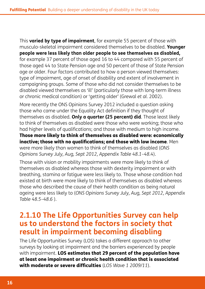This **varied by type of impairment**, for example 55 percent of those with musculo-skeletal impairment considered themselves to be disabled. **Younger people were less likely than older people to see themselves as disabled,** for example 37 percent of those aged 16 to 44 compared with 55 percent of those aged 44 to State Pension age and 50 percent of those of State Pension age or older. Four factors contributed to how a person viewed themselves: type of impairment, age of onset of disability and extent of involvement in campaigning groups. Some of those who did not consider themselves to be disabled viewed themselves as 'ill' (particularly those with long-term illness or chronic medical condition) or 'getting older' (Grewal *et al.* 2002).

More recently the ONS Opinions Survey 2012 included a question asking those who came under the Equality Act definition if they thought of themselves as disabled. **Only a quarter (25 percent) did**. Those least likely to think of themselves as disabled were those who were working; those who had higher levels of qualifications; and those with medium to high income. Those more likely to think of themselves as disabled were: economically inactive; those with no qualifications; and those with low income. Men were more likely than women to think of themselves as disabled (*ONS Opinions Survey July, Aug, Sept 2012, Appendix Table 48.1–48.4*).

Those with vision or mobility impairments were more likely to think of themselves as disabled whereas those with dexterity impairment or with breathing, stamina or fatigue were less likely to. Those whose condition had existed at birth were more likely to think of themselves as disabled whereas those who described the cause of their health condition as being natural ageing were less likely to (*ONS Opinions Survey July, Aug, Sept 2012, Appendix Table 48.5–48.6* ).

#### **2.1.10 The Life Opportunities Survey can help us to understand the factors in society that result in impairment becoming disabling**

The Life Opportunities Survey (LOS) takes a different approach to other surveys by looking at impairment and the barriers experienced by people with impairment. LOS estimates that 29 percent of the population have at least one impairment or chronic health condition that is associated with moderate or severe difficulties (*LOS Wave 1 2009/11*).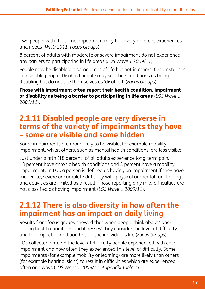Two people with the same impairment may have very different experiences and needs (*WHO 2011, Focus Groups*).

8 percent of adults with moderate or severe impairment do not experience any barriers to participating in life areas (*LOS Wave 1 2009/11*).

People may be disabled in some areas of life but not in others. Circumstances can disable people. Disabled people may see their conditions as being disabling but do not see themselves as 'disabled' (*Focus Groups*).

Those with impairment often report their health condition, impairment or disability as being a barrier to participating in life areas (*LOS Wave 1 2009/11*).

## **2.1.11 Disabled people are very diverse in terms of the variety of impairments they have – some are visible and some hidden**

Some impairments are more likely to be visible, for example mobility impairment, whilst others, such as mental health conditions, are less visible.

Just under a fifth (18 percent) of all adults experience long-term pain, 13 percent have chronic health conditions and 8 percent have a mobility impairment. In LOS a person is defined as having an impairment if they have moderate, severe or complete difficulty with physical or mental functioning and activities are limited as a result. Those reporting only mild difficulties are not classified as having impairment (*LOS Wave 1 2009/11*).

### **2.1.12 There is also diversity in how often the impairment has an impact on daily living**

Results from focus groups showed that when people think about 'longlasting health conditions and illnesses' they consider the level of difficulty and the impact a condition has on the individual's life (*Focus Groups*).

LOS collected data on the level of difficulty people experienced with each impairment and how often they experienced this level of difficulty. Some impairments (for example mobility or learning) are more likely than others (for example hearing, sight) to result in difficulties which are experienced often or always (*LOS Wave 1 2009/11, Appendix Table 1*).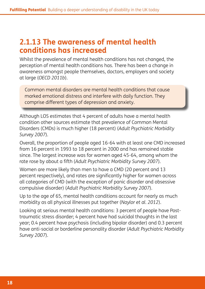#### **2.1.13 The awareness of mental health conditions has increased**

Whilst the prevalence of mental health conditions has not changed, the perception of mental health conditions has. There has been a change in awareness amongst people themselves, doctors, employers and society at large (*OECD 2011b*).

Common mental disorders are mental health conditions that cause marked emotional distress and interfere with daily function. They comprise different types of depression and anxiety.

Although LOS estimates that 4 percent of adults have a mental health condition other sources estimate that prevalence of Common Mental Disorders (CMDs) is much higher (18 percent) (*Adult Psychiatric Morbidity Survey 2007*).

Overall, the proportion of people aged 16-64 with at least one CMD increased from 16 percent in 1993 to 18 percent in 2000 and has remained stable since. The largest increase was for women aged 45-64, among whom the rate rose by about a fifth (*Adult Psychiatric Morbidity Survey 2007*).

Women are more likely than men to have a CMD (20 percent and 13 percent respectively), and rates are significantly higher for women across all categories of CMD (with the exception of panic disorder and obsessive compulsive disorder) (*Adult Psychiatric Morbidity Survey 2007*).

Up to the age of 65, mental health conditions account for nearly as much morbidity as all physical illnesses put together (*Naylor et al. 2012*).

Looking at serious mental health conditions: 3 percent of people have Posttraumatic stress disorder; 4 percent have had suicidal thoughts in the last year; 0.4 percent have psychosis (including bipolar disorder) and 0.3 percent have anti-social or borderline personality disorder (*Adult Psychiatric Morbidity Survey 2007*).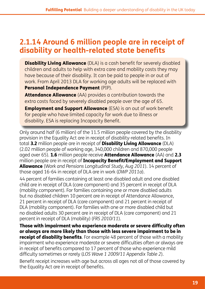#### **2.1.14 Around 6 million people are in receipt of disability or health-related state benefits**

**Disability Living Allowance** (DLA) is a cash benefit for severely disabled children and adults to help with extra care and mobility costs they may have because of their disability. It can be paid to people in or out of work. From April 2013 DLA for working age adults will be replaced with Personal Independence Payment (PIP).

Attendance Allowance (AA) provides a contribution towards the extra costs faced by severely disabled people over the age of 65.

Employment and Support Allowance (ESA) is an out of work benefit for people who have limited capacity for work due to illness or disability. ESA is replacing Incapacity Benefit.

Only around half (6 million) of the 11.5 million people covered by the disability provision in the Equality Act are in receipt of disability-related benefits. In total 3.2 million people are in receipt of **Disability Living Allowance** (DLA) (2.02 million people of working age, 340,000 children and 870,000 people aged over 65). 1.6 million people receive Attendance Allowance (AA) and 2.3 million people are in receipt of **Incapacity Benefit/Employment and Support** Allowance (*Work and Pensions Longitudinal Study, Aug 2011*). 14 percent of those aged 16-64 in receipt of DLA are in work (*DWP 2011a*).

44 percent of families containing at least one disabled adult and one disabled child are in receipt of DLA (care component) and 35 percent in receipt of DLA (mobility component). For families containing one or more disabled adults but no disabled children 10 percent are in receipt of Attendance Allowance, 21 percent in receipt of DLA (care component) and 21 percent in receipt of DLA (mobility component). For families with one or more disabled child but no disabled adults 30 percent are in receipt of DLA (care component) and 21 percent in receipt of DLA (mobility) (*FRS 2010/11*).

Those with impairment who experience moderate or severe difficulty often or always are more likely than those with less severe impairment to be in **receipt of disability benefits**. For example 48 percent of those with a mobility impairment who experience moderate or severe difficulties often or always are in receipt of benefits compared to 17 percent of those who experience mild difficulty sometimes or rarely (*LOS Wave 1 2009/11 Appendix Table 2*).

Benefit receipt increases with age but across all ages not all of those covered by the Equality Act are in receipt of benefits.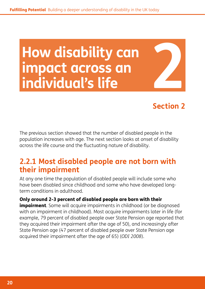# <span id="page-19-0"></span>**How disability can impact across an How disability cance 1944**<br> **impact across ance 1944**

#### **Section 2**

The previous section showed that the number of disabled people in the population increases with age. The next section looks at onset of disability across the life course and the fluctuating nature of disability.

#### **2.2.1 Most disabled people are not born with their impairment**

At any one time the population of disabled people will include some who have been disabled since childhood and some who have developed longterm conditions in adulthood.

#### Only around 2-3 percent of disabled people are born with their

**impairment**. Some will acquire impairments in childhood (or be diagnosed with an impairment in childhood). Most acquire impairments later in life (for example, 79 percent of disabled people over State Pension age reported that they acquired their impairment after the age of 50), and increasingly after State Pension age (47 percent of disabled people over State Pension age acquired their impairment after the age of 65) (*ODI 2008*).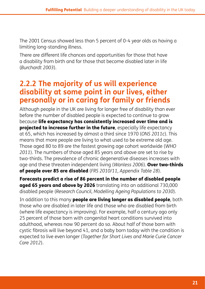The 2001 Census showed less than 5 percent of 0-4 year olds as having a limiting long-standing illness.

There are different life chances and opportunities for those that have a disability from birth and for those that become disabled later in life (*Burchardt 2003*).

#### **2.2.2 The majority of us will experience disability at some point in our lives, either personally or in caring for family or friends**

Although people in the UK are living for longer free of disability than ever before the number of disabled people is expected to continue to grow because life expectancy has consistently increased over time and is projected to increase further in the future, especially life expectancy at 65, which has increased by almost a third since 1970 (*ONS 2011c*). This means that more people are living to what used to be extreme old age. Those aged 80 to 89 are the fastest growing age cohort worldwide (*WHO 2011*). The numbers of those aged 85 years and above are set to rise by two-thirds. The prevalence of chronic degenerative diseases increases with age and these threaten independent living (*Wanless 2006*). Over two-thirds of people over 85 are disabled (*FRS 2010/11, Appendix Table 28*).

Forecasts predict a rise of 86 percent in the number of disabled people aged 65 years and above by 2026 translating into an additional 730,000 disabled people (*Research Council, Modelling Ageing Populations to 2030*).

In addition to this many **people are living longer as disabled people**, both those who are disabled in later life and those who are disabled from birth (where life expectancy is improving). For example, half a century ago only 25 percent of those born with congenital heart conditions survived into adulthood, whereas now 90 percent do so. About half of those born with cystic fibrosis will live beyond 41, and a baby born today with the condition is expected to live even longer (*Together for Short Lives and Marie Curie Cancer Care 2012*).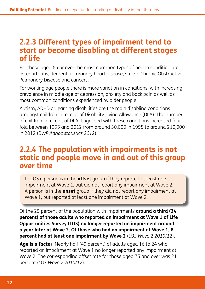#### **2.2.3 Different types of impairment tend to start or become disabling at different stages of life**

For those aged 65 or over the most common types of health condition are osteoarthritis, dementia, coronary heart disease, stroke, Chronic Obstructive Pulmonary Disease and cancers.

For working age people there is more variation in conditions, with increasing prevalence in middle age of depression, anxiety and back pain as well as most common conditions experienced by older people.

Autism, ADHD or learning disabilities are the main disabling conditions amongst children in receipt of Disability Living Allowance (DLA). The number of children in receipt of DLA diagnosed with these conditions increased four fold between 1995 and 2012 from around 50,000 in 1995 to around 210,000 in 2012 (*DWP Adhoc statistics 2012*).

#### **2.2.4 The population with impairments is not static and people move in and out of this group over time**

In LOS a person is in the **offset** group if they reported at least one impairment at Wave 1, but did not report any impairment at Wave 2. A person is in the **onset** group if they did not report any impairment at Wave 1, but reported at least one impairment at Wave 2.

Of the 29 percent of the population with impairments **around a third (34 percent) of those adults who reported an impairment at Wave 1 of Life Opportunities Survey (LOS) no longer reported an impairment around a year later at Wave 2. Of those who had no impairment at Wave 1, 8 percent had at least one impairment by Wave 2** (*LOS Wave 2 2010/12*).

Age is a factor. Nearly half (49 percent) of adults aged 16 to 24 who reported an impairment at Wave 1 no longer reported any impairment at Wave 2. The corresponding offset rate for those aged 75 and over was 21 percent (*LOS Wave 2 2010/12*).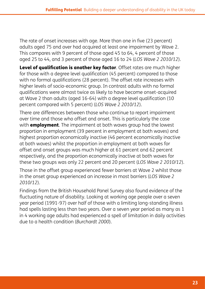The rate of onset increases with age. More than one in five (23 percent) adults aged 75 and over had acquired at least one impairment by Wave 2. This compares with 9 percent of those aged 45 to 64, 4 percent of those aged 25 to 44, and 3 percent of those aged 16 to 24 (*LOS Wave 2 2010/12*).

Level of qualification is another key factor. Offset rates are much higher for those with a degree level qualification (45 percent) compared to those with no formal qualifications (28 percent). The offset rate increases with higher levels of socio-economic group. In contrast adults with no formal qualifications were almost twice as likely to have become onset-acquired at Wave 2 than adults (aged 16-64) with a degree level qualification (10 percent compared with 5 percent) (*LOS Wave 2 2010/12*).

There are differences between those who continue to report impairment over time and those who offset and onset. This is particularly the case with **employment**. The impairment at both waves group had the lowest proportion in employment (39 percent in employment at both waves) and highest proportion economically inactive (46 percent economically inactive at both waves) whilst the proportion in employment at both waves for offset and onset groups was much higher at 61 percent and 62 percent respectively, and the proportion economically inactive at both waves for these two groups was only 22 percent and 20 percent (*LOS Wave 2 2010/12*).

Those in the offset group experienced fewer barriers at Wave 2 whilst those in the onset group experienced an increase in most barriers (*LOS Wave 2 2010/12*).

Findings from the British Household Panel Survey also found evidence of the fluctuating nature of disability. Looking at working age people over a seven year period (1991-97) over half of those with a limiting long-standing illness had spells lasting less than two years. Over a seven year period as many as 1 in 4 working age adults had experienced a spell of limitation in daily activities due to a health condition (*Burchardt 2000*).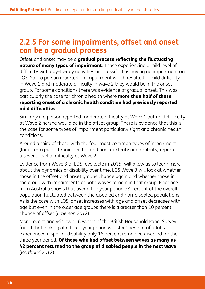#### **2.2.5 For some impairments, offset and onset can be a gradual process**

Offset and onset may be a gradual process reflecting the fluctuating nature of many types of impairment. Those experiencing a mild level of difficulty with day-to-day activities are classified as having no impairment on LOS. So if a person reported an impairment which resulted in mild difficulty in Wave 1 and moderate difficulty in wave 2 they would be in the onset group. For some conditions there was evidence of gradual onset. This was particularly the case for chronic health where more than half of those reporting onset of a chronic health condition had previously reported mild difficulties.

Similarly if a person reported moderate difficulty at Wave 1 but mild difficulty at Wave 2 he/she would be in the offset group. There is evidence that this is the case for some types of impairment particularly sight and chronic health conditions.

Around a third of those with the four most common types of impairment (long-term pain, chronic health condition, dexterity and mobility) reported a severe level of difficulty at Wave 2.

Evidence from Wave 3 of LOS (available in 2015) will allow us to learn more about the dynamics of disability over time. LOS Wave 3 will look at whether those in the offset and onset groups change again and whether those in the group with impairments at both waves remain in that group. Evidence from Australia shows that over a five year period 38 percent of the overall population fluctuated between the disabled and non-disabled populations. As is the case with LOS, onset increases with age and offset decreases with age but even in the older age groups there is a greater than 10 percent chance of offset (*Emerson 2012*).

More recent analysis over 16 waves of the British Household Panel Survey found that looking at a three year period whilst 40 percent of adults experienced a spell of disability only 16 percent remained disabled for the three year period. Of those who had offset between waves as many as 42 percent returned to the group of disabled people in the next wave (*Berthoud 2012*).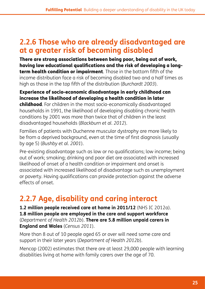#### **2.2.6 Those who are already disadvantaged are at a greater risk of becoming disabled**

There are strong associations between being poor, being out of work, having low educational qualifications and the risk of developing a longterm health condition or impairment. Those in the bottom fifth of the income distribution face a risk of becoming disabled two and a half times as high as those in the top fifth of the distribution (*Burchardt 2003*).

#### Experience of socio-economic disadvantage in early childhood can increase the likelihood of developing a health condition in later

childhood. For children in the most socio-economically disadvantaged households in 1991, the likelihood of developing disabling chronic health conditions by 2001 was more than twice that of children in the least disadvantaged households (*Blackburn et al. 2012*).

Families of patients with Duchenne muscular dystrophy are more likely to be from a deprived background, even at the time of first diagnosis (usually by age 5) (*Bushby et al. 2001*).

Pre-existing disadvantage such as low or no qualifications; low income; being out of work; smoking; drinking and poor diet are associated with increased likelihood of onset of a health condition or impairment and onset is associated with increased likelihood of disadvantage such as unemployment or poverty. Having qualifications can provide protection against the adverse effects of onset.

## **2.2.7 Age, disability and caring interact**

**1.2 million people received care at home in 2011/12** (NHS IC 2012a). **1.8 million people are employed in the care and support workforce**  (*Department of Health 2012b*). **There are 5.8 million unpaid carers in England and Wales** (*Census 2011*).

More than 8 out of 10 people aged 65 or over will need some care and support in their later years (*Department of Health 2012b*).

Mencap (2002) estimates that there are at least 29,000 people with learning disabilities living at home with family carers over the age of 70.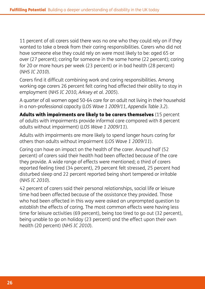11 percent of all carers said there was no one who they could rely on if they wanted to take a break from their caring responsibilities. Carers who did not have someone else they could rely on were most likely to be: aged 65 or over (27 percent); caring for someone in the same home (22 percent); caring for 20 or more hours per week (23 percent) or in bad health (28 percent) (*NHS IC 2010*).

Carers find it difficult combining work and caring responsibilities. Among working age carers 26 percent felt caring had affected their ability to stay in employment (*NHS IC 2010, Arksey et al. 2005*).

A quarter of all women aged 50-64 care for an adult not living in their household in a non-professional capacity (*LOS Wave 1 2009/11, Appendix Table 3.2*).

Adults with impairments are likely to be carers themselves (15 percent of adults with impairments provide informal care compared with 8 percent adults without impairment) (*LOS Wave 1 2009/11*).

Adults with impairments are more likely to spend longer hours caring for others than adults without impairment (*LOS Wave 1 2009/11*).

Caring can have an impact on the health of the carer. Around half (52 percent) of carers said their health had been affected because of the care they provide. A wide range of effects were mentioned; a third of carers reported feeling tired (34 percent), 29 percent felt stressed, 25 percent had disturbed sleep and 22 percent reported being short tempered or irritable (*NHS IC 2010*).

42 percent of carers said their personal relationships, social life or leisure time had been affected because of the assistance they provided. Those who had been affected in this way were asked an unprompted question to establish the effects of caring. The most common effects were having less time for leisure activities (69 percent), being too tired to go out (32 percent), being unable to go on holiday (23 percent) and the effect upon their own health (20 percent) (*NHS IC 2010*).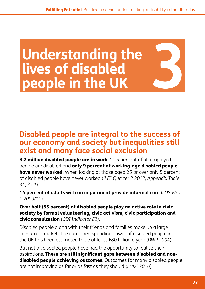# <span id="page-26-0"></span>**Understanding the lives of disabled**  Understanding the<br>lives of disabled<br>people in the UK

#### **Disabled people are integral to the success of our economy and society but inequalities still exist and many face social exclusion**

**3.2 million disabled people are in work**. 11.5 percent of all employed people are disabled and only 9 percent of working-age disabled people have never worked. When looking at those aged 25 or over only 5 percent of disabled people have never worked (*(LFS Quarter 2 2012, Appendix Table 34, 35.1*).

**15 percent of adults with an impairment provide informal care** (*LOS Wave 1 2009/11*).

#### Over half (55 percent) of disabled people play an active role in civic society by formal volunteering, civic activism, civic participation and civic consultation *(ODI Indicator E2)*.

Disabled people along with their friends and families make up a large consumer market. The combined spending power of disabled people in the UK has been estimated to be at least £80 billion a year (*DWP 2004*).

But not all disabled people have had the opportunity to realise their aspirations. There are still significant gaps between disabled and non**disabled people achieving outcomes**. Outcomes for many disabled people are not improving as far or as fast as they should (*EHRC 2010*).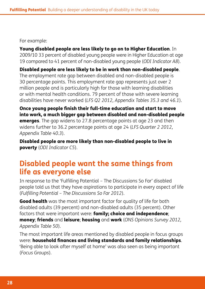#### For example:

Young disabled people are less likely to go on to Higher Education. In 2009/10 33 percent of disabled young people were in Higher Education at age 19 compared to 41 percent of non-disabled young people (*ODI Indicator A8*).

Disabled people are less likely to be in work than non-disabled people. The employment rate gap between disabled and non-disabled people is 30 percentage points. This employment rate gap represents just over 2 million people and is particularly high for those with learning disabilities or with mental health conditions. 79 percent of those with severe learning disabilities have never worked (*LFS Q2 2012, Appendix Tables 35.3 and 46.1*).

Once young people finish their full-time education and start to move into work, a much bigger gap between disabled and non-disabled people **emerges.** The gap widens to 27.8 percentage points at age 23 and then widens further to 36.2 percentage points at age 24 (*LFS Quarter 2 2012, Appendix Table 40.3*).

Disabled people are more likely than non-disabled people to live in poverty (*ODI Indicator C5*).

#### **Disabled people want the same things from life as everyone else**

In response to the 'Fulfilling Potential – The Discussions So Far' disabled people told us that they have aspirations to participate in every aspect of life (*Fulfilling Potential – The Discussions So Far 2012*).

Good health was the most important factor for quality of life for both disabled adults (39 percent) and non-disabled adults (35 percent). Other factors that were important were: **family; choice and independence**; money; friends and leisure; housing and work (*ONS Opinions Survey 2012, Appendix Table 50*).

The most important life areas mentioned by disabled people in focus groups were: household finances and living standards and family relationships. 'Being able to look after myself at home' was also seen as being important (*Focus Groups*).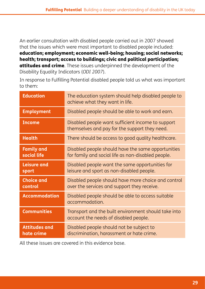An earlier consultation with disabled people carried out in 2007 showed that the issues which were most important to disabled people included: education; employment; economic well-being; housing; social networks; health; transport; access to buildings; civic and political participation; attitudes and crime. These issues underpinned the development of the Disability Equality Indicators (*ODI 2007*).

In response to Fulfilling Potential disabled people told us what was important to them:

| <b>Education</b>                   | The education system should help disabled people to<br>achieve what they want in life.                   |
|------------------------------------|----------------------------------------------------------------------------------------------------------|
| <b>Employment</b>                  | Disabled people should be able to work and earn.                                                         |
| <b>Income</b>                      | Disabled people want sufficient income to support<br>themselves and pay for the support they need.       |
| <b>Health</b>                      | There should be access to good quality healthcare.                                                       |
| <b>Family and</b><br>social life   | Disabled people should have the same opportunities<br>for family and social life as non-disabled people. |
| <b>Leisure and</b><br>sport        | Disabled people want the same opportunities for<br>leisure and sport as non-disabled people.             |
| <b>Choice and</b><br>control       | Disabled people should have more choice and control<br>over the services and support they receive.       |
| <b>Accommodation</b>               | Disabled people should be able to access suitable<br>accommodation.                                      |
| <b>Communities</b>                 | Transport and the built environment should take into<br>account the needs of disabled people.            |
| <b>Attitudes and</b><br>hate crime | Disabled people should not be subject to<br>discrimination, harassment or hate crime.                    |

All these issues are covered in this evidence base.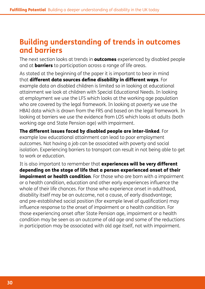#### **Building understanding of trends in outcomes and barriers**

The next section looks at trends in **outcomes** experienced by disabled people and at **barriers** to participation across a range of life areas.

As stated at the beginning of the paper it is important to bear in mind that different data sources define disability in different ways. For example data on disabled children is limited so in looking at educational attainment we look at children with Special Educational Needs. In looking at employment we use the LFS which looks at the working age population who are covered by the legal framework. In looking at poverty we use the HBAI data which is drawn from the FRS and based on the legal framework. In looking at barriers we use the evidence from LOS which looks at adults (both working age and State Pension age) with impairment.

The different issues faced by disabled people are inter-linked. For example low educational attainment can lead to poor employment outcomes. Not having a job can be associated with poverty and social isolation. Experiencing barriers to transport can result in not being able to get to work or education.

It is also important to remember that experiences will be very different depending on the stage of life that a person experienced onset of their impairment or health condition. For those who are born with a impairment or a health condition, education and other early experiences influence the whole of their life chances. For those who experience onset in adulthood, disability itself may be an outcome, not a cause, of early disadvantage; and pre-established social position (for example level of qualification) may influence response to the onset of impairment or a health condition. For those experiencing onset after State Pension age, impairment or a health condition may be seen as an outcome of old age and some of the reductions in participation may be associated with old age itself, not with impairment.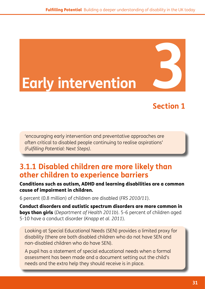# <span id="page-30-0"></span>**Early intervention 3**

### **Section 1**

'encouraging early intervention and preventative approaches are often critical to disabled people continuing to realise aspirations' *(Fulfilling Potential: Next Steps).*

#### **3.1.1 Disabled children are more likely than other children to experience barriers**

#### Conditions such as autism, ADHD and learning disabilities are a common cause of impairment in children.

6 percent (0.8 million) of children are disabled (*FRS 2010/11*).

Conduct disorders and autistic spectrum disorders are more common in boys than girls (*Department of Health 2011b*). 5-6 percent of children aged 5-10 have a conduct disorder (*Knapp et al. 2011*).

Looking at Special Educational Needs (SEN) provides a limited proxy for disability (there are both disabled children who do not have SEN and non-disabled children who do have SEN).

A pupil has a statement of special educational needs when a formal assessment has been made and a document setting out the child's needs and the extra help they should receive is in place.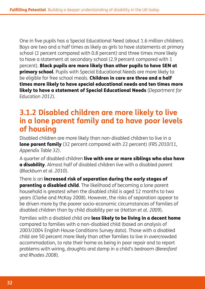One in five pupils has a Special Educational Need (about 1.6 million children). Boys are two and a half times as likely as girls to have statements at primary school (2 percent compared with 0.8 percent) and three times more likely to have a statement at secondary school (2.9 percent compared with 1 percent). Black pupils are more likely than other pupils to have SEN at **primary school**. Pupils with Special Educational Needs are more likely to be eligible for free school meals. Children in care are three and a half times more likely to have special educational needs and ten times more likely to have a statement of Special Educational Needs (*Department for Education 2012*).

#### **3.1.2 Disabled children are more likely to live in a lone parent family and to have poor levels of housing**

Disabled children are more likely than non-disabled children to live in a lone parent family (32 percent compared with 22 percent) (*FRS 2010/11, Appendix Table 32*).

A quarter of disabled children live with one or more siblings who also have a disability. Almost half of disabled children live with a disabled parent (*Blackburn et al. 2010*).

There is an increased risk of separation during the early stages of **parenting a disabled child**. The likelihood of becoming a lone parent household is greatest when the disabled child is aged 12 months to two years (Clarke and McKay 2008). However, the risks of separation appear to be driven more by the poorer socio-economic circumstances of families of disabled children than by child disability per se (*Hatton et al. 2009*).

Families with a disabled child are **less likely to be living in a decent home** compared to families with a non-disabled child (based on analysis of 2003/2004 English House Conditions Survey data). Those with a disabled child are 50 percent more likely than other families to live in overcrowded accommodation, to rate their home as being in poor repair and to report problems with wiring, draughts and damp in a child's bedroom (*Beresford and Rhodes 2008*).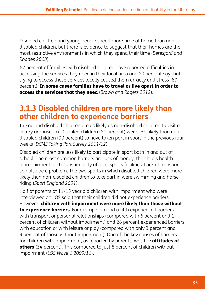Disabled children and young people spend more time at home than nondisabled children, but there is evidence to suggest that their homes are the most restrictive environments in which they spend their time (*Beresford and Rhodes 2008*).

62 percent of families with disabled children have reported difficulties in accessing the services they need in their local area and 80 percent say that trying to access these services locally caused them anxiety and stress (80 percent). In some cases families have to travel or live apart in order to access the services that they need (*Brawn and Rogers 2012*).

#### **3.1.3 Disabled children are more likely than other children to experience barriers**

In England disabled children are as likely as non-disabled children to visit a library or museum. Disabled children (81 percent) were less likely than nondisabled children (90 percent) to have taken part in sport in the previous four weeks (*DCMS Taking Part Survey 2011/12*).

Disabled children are less likely to participate in sport both in and out of school. The most common barriers are lack of money, the child's health or impairment or the unsuitability of local sports facilities. Lack of transport can also be a problem. The two sports in which disabled children were more likely than non-disabled children to take part in were swimming and horse riding (*Sport England 2001*).

Half of parents of 11-15 year old children with impairment who were interviewed on LOS said that their children did not experience barriers. However, children with impairment were more likely than those without to experience barriers. For example around a fifth experienced barriers with transport or personal relationships (compared with 6 percent and 1 percent of children without impairment) and 28 percent experienced barriers with education or with leisure or play (compared with only 3 percent and 9 percent of those without impairment). One of the key causes of barriers for children with impairment, as reported by parents, was the **attitudes of** others (34 percent). This compared to just 8 percent of children without impairment (*LOS Wave 1 2009/11*).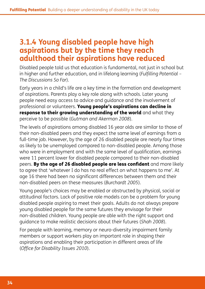#### **3.1.4 Young disabled people have high aspirations but by the time they reach adulthood their aspirations have reduced**

Disabled people told us that education is fundamental, not just in school but in higher and further education, and in lifelong learning (*Fulfilling Potential – The Discussions So Far*).

Early years in a child's life are a key time in the formation and development of aspirations. Parents play a key role along with schools. Later young people need easy access to advice and guidance and the involvement of professional or volunteers. Young people's aspirations can decline in response to their growing understanding of the world and what they perceive to be possible (*Gutman and Akerman 2008*).

The levels of aspirations among disabled 16 year olds are similar to those of their non-disabled peers and they expect the same level of earnings from a full-time job. However, by the age of 26 disabled people are nearly four times as likely to be unemployed compared to non-disabled people. Among those who were in employment and with the same level of qualification, earnings were 11 percent lower for disabled people compared to their non-disabled peers. By the age of 26 disabled people are less confident and more likely to agree that 'whatever I do has no real effect on what happens to me'. At age 16 there had been no significant differences between them and their non-disabled peers on these measures (*Burchardt 2005*).

Young people's choices may be enabled or obstructed by physical, social or attitudinal factors. Lack of positive role models can be a problem for young disabled people aspiring to meet their goals. Adults do not always prepare young disabled people for the same futures they envisage for their non-disabled children. Young people are able with the right support and guidance to make realistic decisions about their futures (*Shah 2008*).

For people with learning, memory or neuro-diversity impairment family members or support workers play an important role in shaping their aspirations and enabling their participation in different areas of life (*Office for Disability Issues 2010*).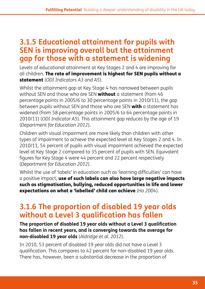#### **3.1.5 Educational attainment for pupils with SEN is improving overall but the attainment gap for those with a statement is widening**

Levels of educational attainment at Key Stages 2 and 4 are improving for all children. The rate of improvement is highest for SEN pupils without a statement (*ODI Indicators A3 and A5*).

Whilst the attainment gap at Key Stage 4 has narrowed between pupils without SEN and those who are SEN **without** a statement (from 46 percentage points in 2005/6 to 30 percentage points in 2010/11), the gap between pupils without SEN and those who are SEN with a statement has widened (from 58 percentage points in 2005/6 to 64 percentage points in 2010/11) (*ODI Indicator A5*). This attainment gap reduces by the age of 19 (*Department for Education 2012*).

Children with visual impairment are more likely than children with other types of impairment to achieve the expected level at Key Stages 2 and 4. In 2010/11, 54 percent of pupils with visual impairment achieved the expected level at Key Stage 2 compared to 35 percent of pupils with SEN. Equivalent figures for Key Stage 4 were 44 percent and 22 percent respectively (*Department for Education 2012*).

Whilst the use of 'labels' in education such as 'learning difficulties' can have a positive impact, use of such labels can also have large negative impacts such as stigmatisation, bullying, reduced opportunities in life and lower expectations on what a 'labelled' child can achieve (*Ho 2004*).

#### **3.1.6 The proportion of disabled 19 year olds without a Level 3 qualification has fallen**

**The proportion of disabled 19 year olds without a Level 3 qualification has fallen in recent years, and is converging towards the average for non-disabled 19 year olds** (*Aldridge et al. 2012*).

In 2010, 53 percent of disabled 19 year olds did not have a Level 3 qualification. This compares to 42 percent for non-disabled 19 year olds. There has, however, been a substantial decrease in the proportion of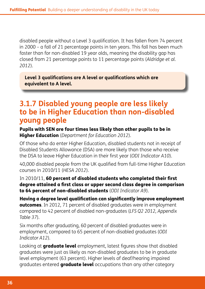disabled people without a Level 3 qualification. It has fallen from 74 percent in 2000 – a fall of 21 percentage points in ten years. This fall has been much faster than for non-disabled 19 year olds, meaning the disability gap has closed from 21 percentage points to 11 percentage points (*Aldridge et al. 2012*).

**Level 3 qualifications are A level or qualifications which are equivalent to A level.**

#### **3.1.7 Disabled young people are less likely to be in Higher Education than non-disabled young people**

Pupils with SEN are four times less likely than other pupils to be in Higher Education (*Department for Education 2012*).

Of those who do enter Higher Education, disabled students not in receipt of Disabled Students Allowance (DSA) are more likely than those who receive the DSA to leave Higher Education in their first year (*ODI Indicator A10*).

40,000 disabled people from the UK qualified from full-time Higher Education courses in 2010/11 (*HESA 2012*).

In 2010/11, 60 percent of disabled students who completed their first degree attained a first class or upper second class degree in comparison to 64 percent of non-disabled students (*ODI Indicator A9*).

Having a degree level qualification can significantly improve employment outcomes. In 2012, 71 percent of disabled graduates were in employment compared to 42 percent of disabled non-graduates (*LFS Q2 2012, Appendix Table 37*).

Six months after graduating, 60 percent of disabled graduates were in employment, compared to 65 percent of non-disabled graduates (*ODI Indicator A12*).

Looking at **graduate level** employment, latest figures show that disabled graduates were just as likely as non-disabled graduates to be in graduate level employment (63 percent). Higher levels of deaf/hearing impaired graduates entered **graduate level** occupations than any other category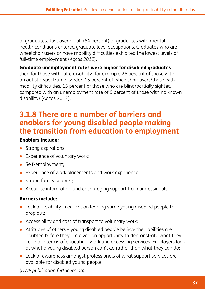of graduates. Just over a half (54 percent) of graduates with mental health conditions entered graduate level occupations. Graduates who are wheelchair users or have mobility difficulties exhibited the lowest levels of full-time employment (*Agcas 2012*).

#### Graduate unemployment rates were higher for disabled graduates

than for those without a disability (for example 26 percent of those with an autistic spectrum disorder, 15 percent of wheelchair users/those with mobility difficulties, 15 percent of those who are blind/partially sighted compared with an unemployment rate of 9 percent of those with no known disability) (Agcas 2012).

#### **3.1.8 There are a number of barriers and enablers for young disabled people making the transition from education to employment**

#### Enablers include:

- Strong aspirations;
- Experience of voluntary work;
- Self-employment;
- Experience of work placements and work experience;
- Strong family support;
- Accurate information and encouraging support from professionals.

#### Barriers include:

- Lack of flexibility in education leading some young disabled people to drop out;
- Accessibility and cost of transport to voluntary work;
- Attitudes of others young disabled people believe their abilities are doubted before they are given an opportunity to demonstrate what they can do in terms of education, work and accessing services. Employers look at what a young disabled person can't do rather than what they can do;
- Lack of awareness amongst professionals of what support services are available for disabled young people.

(*DWP publication forthcoming*)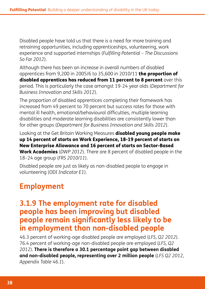Disabled people have told us that there is a need for more training and retraining opportunities, including apprenticeships, volunteering, work experience and supported internships (*Fulfilling Potential – The Discussions So Far 2012*).

Although there has been an increase in overall numbers of disabled apprentices from 9,200 in 2005/6 to 35,600 in 2010/11 **the proportion of** disabled apprentices has reduced from 11 percent to 8 percent over this period. This is particularly the case amongst 19-24 year olds (*Department for Business Innovation and Skills 2012*).

The proportion of disabled apprentices completing their framework has increased from 49 percent to 70 percent but success rates for those with mental ill health, emotional/behavioural difficulties, multiple learning disabilities and moderate learning disabilities are consistently lower than for other groups (*Department for Business Innovation and Skills 2012*).

Looking at the Get Britain Working Measures **disabled young people make** up 14 percent of starts on Work Experience, 18-19 percent of starts on New Enterprise Allowance and 16 percent of starts on Sector-Based Work Academies (*DWP 2012*). There are 8 percent of disabled people in the 18–24 age group (*FRS 2010/11*).

Disabled people are just as likely as non-disabled people to engage in volunteering (*ODI Indicator E1*).

# **Employment**

#### **3.1.9 The employment rate for disabled people has been improving but disabled people remain significantly less likely to be in employment than non-disabled people**

46.3 percent of working-age disabled people are employed (*LFS, Q2 2012*). 76.4 percent of working-age non-disabled people are employed (*LFS, Q2 2012*). **There is therefore a 30.1 percentage point gap between disabled and non-disabled people, representing over 2 million people** (*LFS Q2 2012, Appendix Table 46.1*).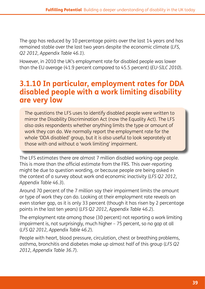The gap has reduced by 10 percentage points over the last 14 years and has remained stable over the last two years despite the economic climate (*LFS, Q2 2012, Appendix Table 46.1*).

However, in 2010 the UK's employment rate for disabled people was lower than the EU average (41.9 percent compared to 45.5 percent) (*EU-SILC 2010*).

#### **3.1.10 In particular, employment rates for DDA disabled people with a work limiting disability are very low**

The questions the LFS uses to identify disabled people were written to mirror the Disability Discrimination Act (now the Equality Act). The LFS also asks respondents whether anything limits the type or amount of work they can do. We normally report the employment rate for the whole 'DDA disabled' group, but it is also useful to look separately at those with and without a 'work limiting' impairment.

The LFS estimates there are almost 7 million disabled working-age people. This is more than the official estimate from the FRS. This over-reporting might be due to question wording, or because people are being asked in the context of a survey about work and economic inactivity (*LFS Q2 2012, Appendix Table 46.3*).

Around 70 percent of the 7 million say their impairment limits the amount or type of work they can do. Looking at their employment rate reveals an even starker gap, as it is only 33 percent (though it has risen by 2 percentage points in the last ten years) (*LFS Q2 2012, Appendix Table 46.2*).

The employment rate among those (30 percent) not reporting a work limiting impairment is, not surprisingly, much higher – 75 percent, so no gap at all (*LFS Q2 2012, Appendix Table 46.2*).

People with heart, blood pressure, circulation, chest or breathing problems, asthma, bronchitis and diabetes make up almost half of this group (*LFS Q2 2012, Appendix Table 36.7*).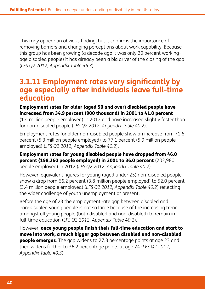This may appear an obvious finding, but it confirms the importance of removing barriers and changing perceptions about work capability. Because this group has been growing (a decade ago it was only 20 percent workingage disabled people) it has already been a big driver of the closing of the gap (*LFS Q2 2012, Appendix Table 46.3*).

#### **3.1.11 Employment rates vary significantly by age especially after individuals leave full-time education**

#### Employment rates for older (aged 50 and over) disabled people have increased from 34.9 percent (900 thousand) in 2001 to 41.0 percent

(1.4 million people employed) in 2012 and have increased slightly faster than for non-disabled people (*LFS Q2 2012, Appendix Table 40.2*).

Employment rates for older non-disabled people show an increase from 71.6 percent (5.3 million people employed) to 77.1 percent (5.9 million people employed) (*LFS Q2 2012, Appendix Table 40.2*).

#### Employment rates for young disabled people have dropped from 46.0 percent (198,260 people employed) in 2001 to 36.0 percent (202,980 people employed) in 2012 (*LFS Q2 2012, Appendix Table 40.2*).

However, equivalent figures for young (aged under 25) non-disabled people show a drop from 66.2 percent (3.8 million people employed) to 52.0 percent (3.4 million people employed) (*LFS Q2 2012, Appendix Table 40.2*) reflecting the wider challenge of youth unemployment at present.

Before the age of 23 the employment rate gap between disabled and non-disabled young people is not so large because of the increasing trend amongst all young people (both disabled and non-disabled) to remain in full-time education (*LFS Q2 2012, Appendix Table 40.1*).

However, once young people finish their full-time education and start to move into work, a much bigger gap between disabled and non-disabled **people emerges.** The gap widens to 27.8 percentage points at age 23 and then widens further to 36.2 percentage points at age 24 (*LFS Q2 2012, Appendix Table 40.3*).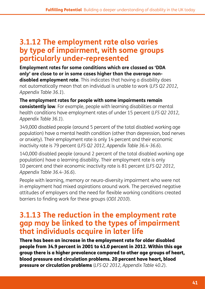#### **3.1.12 The employment rate also varies by type of impairment, with some groups particularly under-represented**

**Employment rates for some conditions which are classed as 'DDA only' are close to or in some cases higher than the average nondisabled employment rate**. This indicates that having a disability does not automatically mean that an individual is unable to work (*LFS Q2 2012, Appendix Table 36.1*).

**The employment rates for people with some impairments remain consistently low**. For example, people with learning disabilities or mental health conditions have employment rates of under 15 percent (*LFS Q2 2012, Appendix Table 36.1*).

349,000 disabled people (around 5 percent of the total disabled working age population) have a mental health condition (other than depression, bad nerves or anxiety). Their employment rate is only 14 percent and their economic inactivity rate is 79 percent (*LFS Q2 2012, Appendix Table 36.4-36.6*).

140,000 disabled people (around 2 percent of the total disabled working age population) have a learning disability. Their employment rate is only 10 percent and their economic inactivity rate is 81 percent (*LFS Q2 2012, Appendix Table 36.4-36.6*).

People with learning, memory or neuro-diversity impairment who were not in employment had mixed aspirations around work. The perceived negative attitudes of employers and the need for flexible working conditions created barriers to finding work for these groups (*ODI 2010*).

#### **3.1.13 The reduction in the employment rate gap may be linked to the types of impairment that individuals acquire in later life**

There has been an increase in the employment rate for older disabled people from 34.9 percent in 2001 to 41.0 percent in 2012. Within this age group there is a higher prevalence compared to other age groups of heart, blood pressure and circulation problems. 20 percent have heart, blood pressure or circulation problems (*LFS Q2 2012, Appendix Table 40.2*).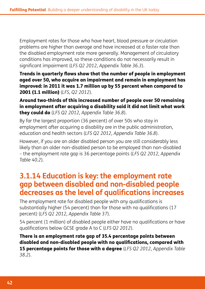Employment rates for those who have heart, blood pressure or circulation problems are higher than average and have increased at a faster rate than the disabled employment rate more generally. Management of circulatory conditions has improved, so these conditions do not necessarily result in significant impairment (*LFS Q2 2012, Appendix Table 36.3*).

Trends in quarterly flows show that the number of people in employment aged over 50, who acquire an impairment and remain in employment has improved: in 2011 it was 1.7 million up by 55 percent when compared to 2001 (1.1 million) (*LFS, Q2 2012*).

Around two-thirds of this increased number of people over 50 remaining in employment after acquiring a disability said it did not limit what work they could do (*LFS Q2 2012, Appendix Table 36.8*).

By far the largest proportion (36 percent) of over 50s who stay in employment after acquiring a disability are in the public administration, education and health sectors (*LFS Q2 2012, Appendix Table 36.8*).

However, if you are an older disabled person you are still considerably less likely than an older non-disabled person to be employed than non-disabled – the employment rate gap is 36 percentage points (*LFS Q2 2012, Appendix Table 40.2*).

#### **3.1.14 Education is key: the employment rate gap between disabled and non-disabled people decreases as the level of qualifications increases**

The employment rate for disabled people with any qualifications is substantially higher (54 percent) than for those with no qualifications (17 percent) (*LFS Q2 2012, Appendix Table 37*).

54 percent (1 million) of disabled people either have no qualifications or have qualifications below GCSE grade A to C (*LFS Q2 2012*).

There is an employment rate gap of 35.4 percentage points between disabled and non-disabled people with no qualifications, compared with 15 percentage points for those with a degree (*LFS Q2 2012, Appendix Table 38.2*).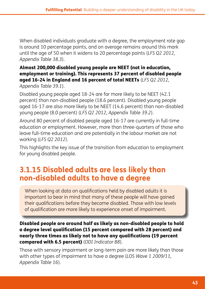When disabled individuals graduate with a degree, the employment rate gap is around 10 percentage points, and on average remains around this mark until the age of 50 when it widens to 20 percentage points (*LFS Q2 2012, Appendix Table 38.3*).

#### Almost 200,000 disabled young people are NEET (not in education, employment or training). This represents 37 percent of disabled people aged 16-24 in England and 16 percent of total NEETs (*LFS Q2 2012, Appendix Table 39.1*).

Disabled young people aged 18-24 are far more likely to be NEET (42.1 percent) than non-disabled people (18.6 percent). Disabled young people aged 16-17 are also more likely to be NEET (14.6 percent) than non-disabled young people (8.0 percent) (*LFS Q2 2012, Appendix Table 39.2*).

Around 80 percent of disabled people aged 16-17 are currently in full-time education or employment. However, more than three-quarters of those who leave full-time education and are potentially in the labour market are not working (*LFS Q2 2012*).

This highlights the key issue of the transition from education to employment for young disabled people.

# **3.1.15 Disabled adults are less likely than non-disabled adults to have a degree**

When looking at data on qualifications held by disabled adults it is important to bear in mind that many of these people will have gained their qualifications before they became disabled. Those with low levels of qualification are more likely to experience onset of impairment.

Disabled people are around half as likely as non-disabled people to hold a degree level qualification (15 percent compared with 28 percent) and nearly three times as likely not to have any qualifications (19 percent compared with 6.5 percent) (*ODI Indicator B8*).

Those with sensory impairment or long-term pain are more likely than those with other types of impairment to have a degree (*LOS Wave 1 2009/11, Appendix Table 16*).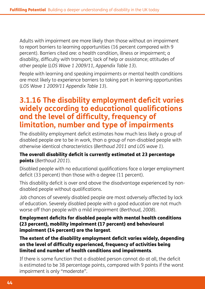Adults with impairment are more likely than those without an impairment to report barriers to learning opportunities (16 percent compared with 9 percent). Barriers cited are: a health condition, illness or impairment; a disability, difficulty with transport; lack of help or assistance; attitudes of other people (*LOS Wave 1 2009/11, Appendix Table 13*).

People with learning and speaking impairments or mental health conditions are most likely to experience barriers to taking part in learning opportunities (*LOS Wave 1 2009/11 Appendix Table 13*).

#### **3.1.16 The disability employment deficit varies widely according to educational qualifications and the level of difficulty, frequency of limitation, number and type of impairments**

The disability employment deficit estimates how much less likely a group of disabled people are to be in work, than a group of non-disabled people with otherwise identical characteristics (*Berthoud 2011 and LOS wave 1*).

#### The overall disability deficit is currently estimated at 23 percentage points (*Berthoud 2011*).

Disabled people with no educational qualifications face a larger employment deficit (33 percent) than those with a degree (11 percent).

This disability deficit is over and above the disadvantage experienced by nondisabled people without qualifications.

Job chances of severely disabled people are most adversely affected by lack of education. Severely disabled people with a good education are not much worse off than people with a mild impairment (*Berthoud, 2008*).

Employment deficits for disabled people with mental health conditions (23 percent), mobility impairment (17 percent) and behavioural impairment (14 percent) are the largest.

The extent of the disability employment deficit varies widely, depending on the level of difficulty experienced, frequency of activities being limited and number of health conditions and impairments.

If there is some function that a disabled person cannot do at all, the deficit is estimated to be 38 percentage points, compared with 9 points if the worst impairment is only "moderate".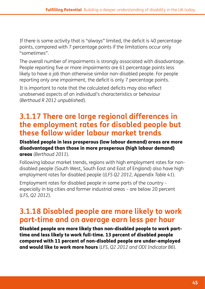If there is some activity that is "always" limited, the deficit is 40 percentage points, compared with 7 percentage points if the limitations occur only "sometimes".

The overall number of impairments is strongly associated with disadvantage. People reporting five or more impairments are 61 percentage points less likely to have a job than otherwise similar non-disabled people. For people reporting only one impairment, the deficit is only 7 percentage points.

It is important to note that the calculated deficits may also reflect unobserved aspects of an individual's characteristics or behaviour (*Berthoud R 2012 unpublished*).

#### **3.1.17 There are large regional differences in the employment rates for disabled people but these follow wider labour market trends**

Disabled people in less prosperous (low labour demand) areas are more disadvantaged than those in more prosperous (high labour demand) areas (*Berthoud 2011*).

Following labour market trends, regions with high employment rates for nondisabled people (South West, South East and East of England) also have high employment rates for disabled people (*(LFS Q2 2012, Appendix Table 41*).

Employment rates for disabled people in some parts of the country – especially in big cities and former industrial areas *–* are below 20 percent (*LFS, Q2 2012*).

# **3.1.18 Disabled people are more likely to work part-time and on average earn less per hour**

Disabled people are more likely than non-disabled people to work parttime and less likely to work full-time. 13 percent of disabled people compared with 11 percent of non-disabled people are under-employed and would like to work more hours (*LFS, Q2 2012 and ODI Indicator B6*).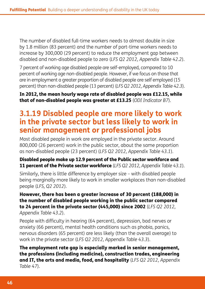The number of disabled full-time workers needs to almost double in size by 1.8 million (83 percent) and the number of part-time workers needs to increase by 300,000 (29 percent) to reduce the employment gap between disabled and non-disabled people to zero (*LFS Q2 2012, Appendix Table 42.2*).

7 percent of working age disabled people are self-employed, compared to 10 percent of working age non-disabled people. However, if we focus on those that are in employment a greater proportion of disabled people are self employed (15 percent) than non-disabled people (13 percent) (*LFS Q2 2012, Appendix Table 42.3*).

#### In 2012, the mean hourly wage rate of disabled people was £12.15, while that of non-disabled people was greater at £13.25 (*ODI Indicator B7*).

#### **3.1.19 Disabled people are more likely to work in the private sector but less likely to work in senior management or professional jobs**

Most disabled people in work are employed in the private sector. Around 800,000 (26 percent) work in the public sector, about the same proportion as non-disabled people (23 percent) (*LFS Q2 2012, Appendix Table 43.1*).

#### Disabled people make up 12.9 percent of the Public sector workforce and 11 percent of the Private sector workforce (*LFS Q2 2012, Appendix Table 43.1*).

Similarly, there is little difference by employer size *–* with disabled people being marginally more likely to work in smaller workplaces than non-disabled people (*LFS, Q2 2012*).

#### However, there has been a greater increase of 30 percent (188,000) in the number of disabled people working in the public sector compared to 24 percent in the private sector (445,000) since 2002 (*LFS Q2 2012, Appendix Table 43.2*).

People with difficulty in hearing (64 percent), depression, bad nerves or anxiety (66 percent), mental health conditions such as phobia, panics, nervous disorders (65 percent) are less likely (than the overall average) to work in the private sector (*LFS Q2 2012, Appendix Table 43.3*).

The employment rate gap is especially marked in senior management, the professions (including medicine), construction trades, engineering and IT, the arts and media, food, and hospitality (*LFS Q2 2012, Appendix Table 47*).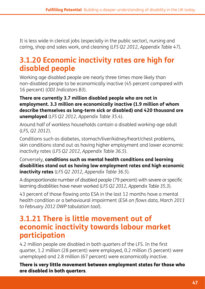It is less wide in clerical jobs (especially in the public sector), nursing and caring, shop and sales work, and cleaning (*LFS Q2 2012, Appendix Table 47*).

# **3.1.20 Economic inactivity rates are high for disabled people**

Working age disabled people are nearly three times more likely than non-disabled people to be economically inactive (45 percent compared with 16 percent) (*ODI Indicators B3*).

#### **There are currently 3.7 million disabled people who are not in employment. 3.3 million are economically inactive (1.9 million of whom describe themselves as long-term sick or disabled) and 420 thousand are unemployed** (*LFS Q2 2012, Appendix Table 35.4*).

Around half of workless households contain a disabled working-age adult (*LFS, Q2 2012*).

Conditions such as diabetes, stomach/liver/kidney/heart/chest problems, skin conditions stand out as having higher employment and lower economic inactivity rates (*LFS Q2 2012, Appendix Table 36.5*).

Conversely, **conditions such as mental health conditions and learning disabilities stand out as having low employment rates and high economic inactivity rates** (*LFS Q2 2012, Appendix Table 36.5*).

A disproportionate number of disabled people (79 percent) with severe or specific learning disabilities have never worked (*LFS Q2 2012, Appendix Table 35.3*).

43 percent of those flowing onto ESA in the last 12 months have a mental health condition or a behavioural impairment (*ESA on flows data, March 2011 to February 2012 DWP tabulation tool*).

#### **3.1.21 There is little movement out of economic inactivity towards labour market participation**

4.2 million people are disabled in both quarters of the LFS. In the first quarter, 1.2 million (28 percent) were employed, 0.2 million (5 percent) were unemployed and 2.8 million (67 percent) were economically inactive.

There is very little movement between employment states for those who are disabled in both quarters.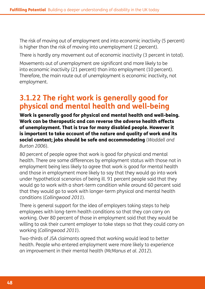The risk of moving out of employment and into economic inactivity (5 percent) is higher than the risk of moving into unemployment (2 percent).

There is hardly any movement out of economic inactivity (3 percent in total).

Movements out of unemployment are significant and more likely to be into economic inactivity (21 percent) than into employment (10 percent). Therefore, the main route out of unemployment is economic inactivity, not employment.

#### **3.1.22 The right work is generally good for physical and mental health and well-being**

Work is generally good for physical and mental health and well-being. Work can be therapeutic and can reverse the adverse health effects of unemployment. That is true for many disabled people. However it is important to take account of the nature and quality of work and its social context; jobs should be safe and accommodating (*Waddell and Burton 2006*).

80 percent of people agree that work is good for physical and mental health. There are some differences by employment status with those not in employment being less likely to agree that work is good for mental health and those in employment more likely to say that they would go into work under hypothetical scenarios of being ill. 91 percent people said that they would go to work with a short-term condition while around 60 percent said that they would go to work with longer-term physical and mental health conditions (*Collingwood 2011*).

There is general support for the idea of employers taking steps to help employees with long-term health conditions so that they can carry on working. Over 80 percent of those in employment said that they would be willing to ask their current employer to take steps so that they could carry on working (*Collingwood 2011*).

Two-thirds of JSA claimants agreed that working would lead to better health. People who entered employment were more likely to experience an improvement in their mental health (*McManus et al. 2012*).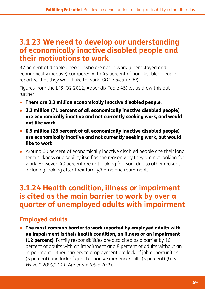#### **3.1.23 We need to develop our understanding of economically inactive disabled people and their motivations to work**

37 percent of disabled people who are not in work (unemployed and economically inactive) compared with 45 percent of non-disabled people reported that they would like to work (*ODI Indicator B9*).

Figures from the LFS (Q2 2012, Appendix Table 45) let us draw this out further:

- There are 3.3 million economically inactive disabled people.
- 2.3 million (71 percent of all economically inactive disabled people) are economically inactive and not currently seeking work, and would not like work.
- 0.9 million (28 percent of all economically inactive disabled people) are economically inactive and not currently seeking work, but would like to work.
- Around 60 percent of economically inactive disabled people cite their long term sickness or disability itself as the reason why they are not looking for work. However, 40 percent are not looking for work due to other reasons including looking after their family/home and retirement.

#### **3.1.24 Health condition, illness or impairment is cited as the main barrier to work by over a quarter of unemployed adults with impairment**

#### **Employed adults**

● The most common barrier to work reported by employed adults with an impairment is their health condition, an illness or an impairment **(12 percent).** Family responsibilities are also cited as a barrier by 10 percent of adults with an impairment and 8 percent of adults without an impairment. Other barriers to employment are lack of job opportunities (5 percent) and lack of qualifications/experience/skills (5 percent) (*LOS Wave 1 2009/2011, Appendix Table 20.1*).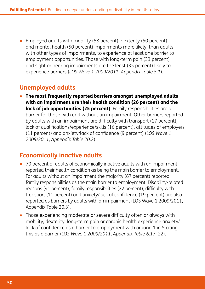● Employed adults with mobility (58 percent), dexterity (50 percent) and mental health (50 percent) impairments more likely, than adults with other types of impairments, to experience at least one barrier to employment opportunities. Those with long-term pain (33 percent) and sight or hearing impairments are the least (35 percent) likely to experience barriers (*LOS Wave 1 2009/2011, Appendix Table 5.1*).

#### **Unemployed adults**

● The most frequently reported barriers amongst unemployed adults with an impairment are their health condition (26 percent) and the lack of job opportunities (25 percent). Family responsibilities are a barrier for those with and without an impairment. Other barriers reported by adults with an impairment are difficulty with transport (17 percent), lack of qualifications/experience/skills (16 percent), attitudes of employers (11 percent) and anxiety/lack of confidence (9 percent) (*LOS Wave 1 2009/2011, Appendix Table 20.2*).

#### **Economically inactive adults**

- 70 percent of adults of economically inactive adults with an impairment reported their health condition as being the main barrier to employment. For adults without an impairment the majority (67 percent) reported family responsibilities as the main barrier to employment. Disability-related reasons (41 percent), family responsibilities (22 percent), difficulty with transport (11 percent) and anxiety*/*lack of confidence (19 percent) are also reported as barriers by adults with an impairment (LOS Wave 1 2009/2011, Appendix Table 20.3).
- Those experiencing moderate or severe difficulty often or always with mobility, dexterity, long-term pain or chronic health experience anxiety/ lack of confidence as a barrier to employment with around 1 in 5 citing this as a barrier (*LOS Wave 1 2009/2011, Appendix Table 6.17–22*).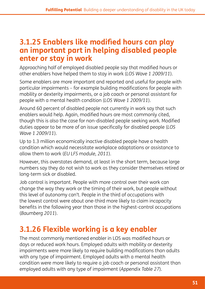#### **3.1.25 Enablers like modified hours can play an important part in helping disabled people enter or stay in work**

Approaching half of employed disabled people say that modified hours or other enablers have helped them to stay in work (*LOS Wave 1 2009/11*).

Some enablers are more important and reported and useful for people with particular impairments – for example building modifications for people with mobility or dexterity impairments, or a job coach or personal assistant for people with a mental health condition (*LOS Wave 1 2009/11*).

Around 60 percent of disabled people not currently in work say that such enablers would help. Again, modified hours are most commonly cited, though this is also the case for non-disabled people seeking work. Modified duties appear to be more of an issue specifically for disabled people (*LOS Wave 1 2009/11*).

Up to 1.3 million economically inactive disabled people have a health condition which would necessitate workplace adaptations or assistance to allow them to work (*EU LFS module, 2011*).

However, this overstates demand, at least in the short term, because large numbers say they do not wish to work as they consider themselves retired or long-term sick or disabled.

Job control is important. People with more control over their work can change the way they work or the timing of their work, but people without this level of autonomy can't. People in the third of occupations with the lowest control were about one-third more likely to claim incapacity benefits in the following year than those in the highest-control occupations (*Baumberg 2011*).

# **3.1.26 Flexible working is a key enabler**

The most commonly mentioned enabler in LOS was modified hours or days or reduced work hours. Employed adults with mobility or dexterity impairments were more likely to require building modifications than adults with any type of impairment. Employed adults with a mental health condition were more likely to require a job coach or personal assistant than employed adults with any type of impairment (*Appendix Table 27*).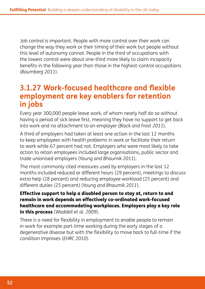Job control is important. People with more control over their work can change the way they work or their timing of their work but people without this level of autonomy cannot. People in the third of occupations with the lowest control were about one-third more likely to claim incapacity benefits in the following year than those in the highest-control occupations (*Baumberg 2011*).

#### **3.1.27 Work-focused healthcare and flexible employment are key enablers for retention in jobs**

Every year 300,000 people leave work, of whom nearly half do so without having a period of sick leave first, meaning they have no support to get back into work and no attachment to an employer (*Black and Frost 2011*).

A third of employers had taken at least one action in the last 12 months to keep employees with health problems in work or facilitate their return to work while 67 percent had not. Employers who were most likely to take action to retain employees included large organisations, public sector and trade unionised employers (*Young and Bhaumik 2011*).

The most commonly cited measures used by employers in the last 12 months included reduced or different hours (29 percent), meetings to discuss extra help (28 percent) and reducing employee workload (25 percent) and different duties (25 percent) (*Young and Bhaumik 2011*).

Effective support to help a disabled person to stay at, return to and remain in work depends on effectively co-ordinated work-focused healthcare and accommodating workplaces. Employers play a key role in this process (*Waddell et al. 2009*).

There is a need for flexibility in employment to enable people to remain in work for example part-time working during the early stages of a degenerative disease but with the flexibility to move back to full-time if the condition improves (*EHRC 2010*).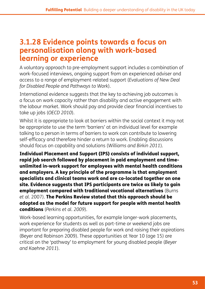#### **3.1.28 Evidence points towards a focus on personalisation along with work-based learning or experience**

A voluntary approach to pre-employment support includes a combination of work-focused interviews, ongoing support from an experienced adviser and access to a range of employment-related support (*Evaluations of New Deal for Disabled People and Pathways to Work*).

International evidence suggests that the key to achieving job outcomes is a focus on work capacity rather than disability and active engagement with the labour market. Work should pay and provide clear financial incentives to take up jobs (*OECD 2010*).

Whilst it is appropriate to look at barriers within the social context it may not be appropriate to use the term 'barriers' at an individual level for example talking to a person in terms of barriers to work can contribute to lowering self-efficacy and therefore hinder a return to work. Enabling discussions should focus on capability and solutions (*Williams and Birkin 2011*).

Individual Placement and Support (IPS) consists of individual support, rapid job search followed by placement in paid employment and timeunlimited in-work support for employees with mental health conditions and employers. A key principle of the programme is that employment specialists and clinical teams work and are co-located together on one site. Evidence suggests that IPS participants are twice as likely to gain employment compared with traditional vocational alternatives (Burns *et al.* 2007). The Perkins Review stated that this approach should be adopted as the model for future support for people with mental health conditions (*Perkins et al. 2009*).

Work-based learning opportunities, for example longer-work placements, work experience for students as well as part-time or weekend jobs are important for preparing disabled people for work and raising their aspirations (Beyer and Robinson 2009). These opportunities at Year 10 (age 15) are critical on the 'pathway' to employment for young disabled people (*Beyer and Kaehne 2011*).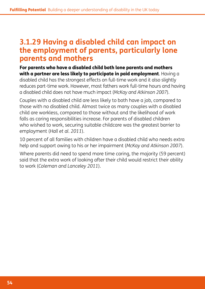#### **3.1.29 Having a disabled child can impact on the employment of parents, particularly lone parents and mothers**

For parents who have a disabled child both lone parents and mothers with a partner are less likely to participate in paid employment. Having a disabled child has the strongest effects on full-time work and it also slightly reduces part-time work. However, most fathers work full-time hours and having a disabled child does not have much impact (*McKay and Atkinson 2007*).

Couples with a disabled child are less likely to both have a job, compared to those with no disabled child. Almost twice as many couples with a disabled child are workless, compared to those without and the likelihood of work falls as caring responsibilities increase. For parents of disabled children who wished to work, securing suitable childcare was the greatest barrier to employment (*Hall et al. 2011*).

10 percent of all families with children have a disabled child who needs extra help and support owing to his or her impairment (*McKay and Atkinson 2007*).

Where parents did need to spend more time caring, the majority (59 percent) said that the extra work of looking after their child would restrict their ability to work (*Coleman and Lanceley 2011*).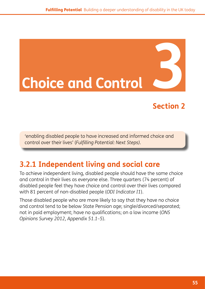# **Choice and Control**

# **Section 2**

'enabling disabled people to have increased and informed choice and control over their lives' (*Fulfilling Potential: Next Steps).*

# **3.2.1 Independent living and social care**

To achieve independent living, disabled people should have the same choice and control in their lives as everyone else. Three quarters (74 percent) of disabled people feel they have choice and control over their lives compared with 81 percent of non-disabled people (*ODI Indicator I1*).

Those disabled people who are more likely to say that they have no choice and control tend to be below State Pension age; single/divorced/separated; not in paid employment; have no qualifications; on a low income (*ONS Opinions Survey 2012, Appendix 51.1–5*).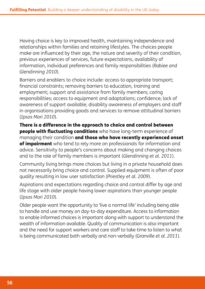Having choice is key to improved health, maintaining independence and relationships within families and retaining lifestyles. The choices people make are influenced by their age, the nature and severity of their condition, previous experiences of services, future expectations, availability of information, individual preferences and family responsibilities (*Rabiee and Glendinning 2010*).

Barriers and enablers to choice include: access to appropriate transport; financial constraints; removing barriers to education, training and employment; support and assistance from family members; caring responsibilities; access to equipment and adaptations; confidence; lack of awareness of support available; disability awareness of employers and staff in organisations providing goods and services to remove attitudinal barriers (*Ipsos Mori 2010*).

There is a difference in the approach to choice and control between people with fluctuating conditions who have long-term experience of managing their condition and those who have recently experienced onset of impairment who tend to rely more on professionals for information and advice. Sensitivity to people's concerns about making and changing choices and to the role of family members is important (*Glendinning et al. 2011*).

Community living brings more choices but living in a private household does not necessarily bring choice and control. Supplied equipment is often of poor quality resulting in low user satisfaction (*Priestley et al. 2009*).

Aspirations and expectations regarding choice and control differ by age and life stage with older people having lower aspirations than younger people (*Ipsos Mori 2010*).

Older people want the opportunity to 'live a normal life' including being able to handle and use money on day-to-day expenditure. Access to information to enable informed choices is important along with support to understand the wealth of information available. Quality of communication is also important and the need for support workers and care staff to take time to listen to what is being communicated both verbally and non-verbally (*Granville et al. 2011*).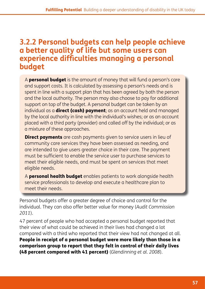#### **3.2.2 Personal budgets can help people achieve a better quality of life but some users can experience difficulties managing a personal budget**

A **personal budget** is the amount of money that will fund a person's care and support costs. It is calculated by assessing a person's needs and is spent in line with a support plan that has been agreed by both the person and the local authority. The person may also choose to pay for additional support on top of the budget. A personal budget can be taken by an individual as a **direct (cash) payment**; as an account held and managed by the local authority in line with the individual's wishes; or as an account placed with a third party (provider) and called off by the individual; or as a mixture of these approaches.

**Direct payments** are cash payments given to service users in lieu of community care services they have been assessed as needing, and are intended to give users greater choice in their care. The payment must be sufficient to enable the service user to purchase services to meet their eligible needs, and must be spent on services that meet eligible needs.

A **personal health budget** enables patients to work alongside health service professionals to develop and execute a healthcare plan to meet their needs.

Personal budgets offer a greater degree of choice and control for the individual. They can also offer better value for money (*Audit Commission 2011*).

47 percent of people who had accepted a personal budget reported that their view of what could be achieved in their lives had changed a lot compared with a third who reported that their view had not changed at all. People in receipt of a personal budget were more likely than those in a comparison group to report that they felt in control of their daily lives (48 percent compared with 41 percent) (*Glendinning et al. 2008*).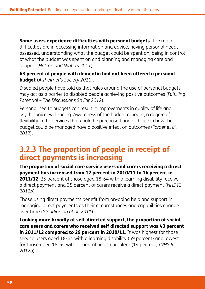Some users experience difficulties with personal budgets. The main difficulties are in accessing information and advice, having personal needs assessed, understanding what the budget could be spent on, being in control of what the budget was spent on and planning and managing care and support (*Hatton and Waters 2011*).

63 percent of people with dementia had not been offered a personal budget (*Alzheimer's Society 2011*).

Disabled people have told us that rules around the use of personal budgets may act as a barrier to disabled people achieving positive outcomes (*Fulfilling Potential – The Discussions So Far 2012*).

Personal health budgets can result in improvements in quality of life and psychological well-being. Awareness of the budget amount, a degree of flexibility in the services that could be purchased and a choice in how the budget could be managed have a positive effect on outcomes (*Forder et al. 2012*).

#### **3.2.3 The proportion of people in receipt of direct payments is increasing**

The proportion of social care service users and carers receiving a direct payment has increased from 12 percent in 2010/11 to 14 percent in

**2011/12.** 25 percent of those aged 18-64 with a learning disability receive a direct payment and 35 percent of carers receive a direct payment (*NHS IC 2012b*).

Those using direct payments benefit from on-going help and support in managing direct payments as their circumstances and capabilities change over time (*Glendinning et al. 2011*).

Looking more broadly at self-directed support, the proportion of social care users and carers who received self directed support was 43 percent in 2011/12 compared to 29 percent in 2010/11. It was highest for those service users aged 18-64 with a learning disability (59 percent) and lowest for those aged 18-64 with a mental health problem (14 percent) (*NHS IC 2012b*).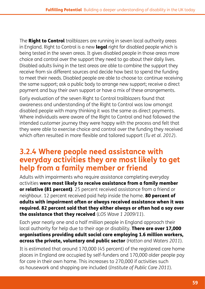The **Right to Control** trailblazers are running in seven local authority areas in England. Right to Control is a new **legal** right for disabled people which is being tested in the seven areas. It gives disabled people in those areas more choice and control over the support they need to go about their daily lives. Disabled adults living in the test areas are able to combine the support they receive from six different sources and decide how best to spend the funding to meet their needs. Disabled people are able to choose to: continue receiving the same support; ask a public body to arrange new support; receive a direct payment and buy their own support or have a mix of these arrangements.

Early evaluation of the seven Right to Control trailblazers found that awareness and understanding of the Right to Control was low amongst disabled people with many thinking it was the same as direct payments. Where individuals were aware of the Right to Control and had followed the intended customer journey they were happy with the process and felt that they were able to exercise choice and control over the funding they received which often resulted in more flexible and tailored support (*Tu et al. 2012*).

#### **3.2.4 Where people need assistance with everyday activities they are most likely to get help from a family member or friend**

Adults with impairments who require assistance completing everyday activities were most likely to receive assistance from a family member or relative (81 percent). 25 percent received assistance from a friend or neighbour. 12 percent received paid help inside the home. **80 percent of** adults with impairment often or always received assistance when it was required. 82 percent said that they either always or often had a say over the assistance that they received (*LOS Wave 1 2009/11*).

Each year nearly one and a half million people in England approach their local authority for help due to their age or disability. There are over 17,000 organisations providing adult social care employing 1.6 million workers, across the private, voluntary and public sector (*Hatton and Waters 2011*).

It is estimated that around 170,000 (45 percent) of the registered care home places in England are occupied by self-funders and 170,000 older people pay for care in their own home. This increases to 270,000 if activities such as housework and shopping are included (*Institute of Public Care 2011*).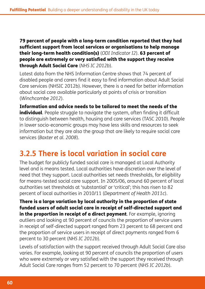79 percent of people with a long-term condition reported that they had sufficient support from local services or organisations to help manage their long-term health condition(s) (*ODI Indicator I2*). 63 percent of people are extremely or very satisfied with the support they receive through Adult Social Care (*NHS IC 2012b*).

Latest data from the NHS Information Centre shows that 74 percent of disabled people and carers find it easy to find information about Adult Social Care services (NHSIC 2012b). However, there is a need for better information about social care available particularly at points of crisis or transition (*Winchcombe 2012*).

Information and advice needs to be tailored to meet the needs of the individual. People struggle to navigate the system, often finding it difficult to distinguish between health, housing and care services (TASC 2010). People in lower socio-economic groups may have less skills and resources to seek information but they are also the group that are likely to require social care services (*Baxter et al. 2008*).

# **3.2.5 There is local variation in social care**

The budget for publicly funded social care is managed at Local Authority level and is means tested. Local authorities have discretion over the level of need that they support. Local authorities set needs thresholds, for eligibility for means-tested social care support. In 2005/06, around 60 percent of local authorities set thresholds at 'substantial' or 'critical'; this has risen to 82 percent of local authorities in 2010/11 (*Department of Health 2011c*).

There is a large variation by local authority in the proportion of state funded users of adult social care in receipt of self-directed support and in the proportion in receipt of a direct payment. For example, ignoring outliers and looking at 90 percent of councils the proportion of service users in receipt of self-directed support ranged from 23 percent to 68 percent and the proportion of service users in receipt of direct payments ranged from 6 percent to 30 percent (*NHS IC 2012b*).

Levels of satisfaction with the support received through Adult Social Care also varies. For example, looking at 90 percent of councils the proportion of users who were extremely or very satisfied with the support they received through Adult Social Care ranges from 52 percent to 70 percent (*NHS IC 2012b*).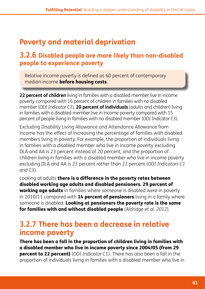# **Poverty and material deprivation**

#### **3.2.6 Disabled people are more likely than non-disabled people to experience poverty**

Relative income poverty is defined as 60 percent of contemporary median income before housing costs.

**22 percent of children** living in families with a disabled member live in income poverty compared with 16 percent of children in families with no disabled member (*ODI Indicator C1*). **20 percent of individuals** (adults and children) living in families with a disabled member live in income poverty compared with 15 percent of people living in families with no disabled member (*ODI Indicator C3*).

Excluding Disability Living Allowance and Attendance Allowance from income has the effect of increasing the percentage of families with disabled members living in poverty. For example, the proportion of individuals living in families with a disabled member who live in income poverty excluding DLA and AA is 23 percent instead of 20 percent, and the proportion of children living in families with a disabled member who live in income poverty excluding DLA and AA is 23 percent rather than 22 percent (*ODI Indicators C1 and C3*).

Looking at adults **there is a difference in the poverty rates between** disabled working age adults and disabled pensioners. 29 percent of **working age adults** in families where someone is disabled were in poverty in 2010/11 compared with **14 percent of pensioners** living in a family where someone is disabled. Looking at pensioners the poverty rate is the same for families with and without disabled people (*Aldridge et al. 2012*).

#### **3.2.7 There has been a decrease in relative income poverty**

There has been a fall in the proportion of children living in families with a disabled member who live in income poverty since 2004/05 (from 29 percent to 22 percent) (*ODI Indicator C1*). There has also been a fall in the proportion of individuals living in families with a disabled member who live in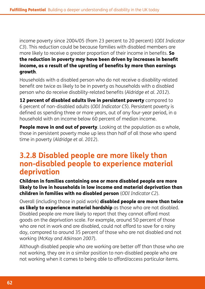income poverty since 2004/05 (from 23 percent to 20 percent) (*ODI Indicator C3*). This reduction could be because families with disabled members are more likely to receive a greater proportion of their income in benefits. So the reduction in poverty may have been driven by increases in benefit income, as a result of the uprating of benefits by more than earnings growth.

Households with a disabled person who do not receive a disability-related benefit are twice as likely to be in poverty as households with a disabled person who do receive disability-related benefits (*Aldridge et al. 2012*).

12 percent of disabled adults live in persistent poverty compared to 6 percent of non-disabled adults (*ODI Indicator C5*). Persistent poverty is defined as spending three or more years, out of any four-year period, in a household with an income below 60 percent of median income.

**People move in and out of poverty**. Looking at the population as a whole, those in persistent poverty make up less than half of all those who spend time in poverty (*Aldridge et al. 2012*).

#### **3.2.8 Disabled people are more likely than non-disabled people to experience material deprivation**

Children in families containing one or more disabled people are more likely to live in households in low income and material deprivation than children in families with no disabled person (*ODI Indicator C2*).

Overall (including those in paid work) disabled people are more than twice as likely to experience material hardship as those who are not disabled. Disabled people are more likely to report that they cannot afford most goods on the deprivation scale. For example, around 50 percent of those who are not in work and are disabled, could not afford to save for a rainy day, compared to around 35 percent of those who are not disabled and not working (*McKay and Atkinson 2007*).

Although disabled people who are working are better off than those who are not working, they are in a similar position to non-disabled people who are not working when it comes to being able to afford/access particular items.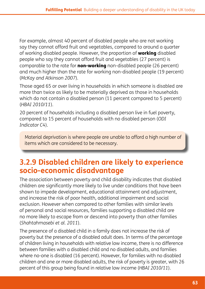For example, almost 40 percent of disabled people who are not working say they cannot afford fruit and vegetables, compared to around a quarter of working disabled people. However, the proportion of **working** disabled people who say they cannot afford fruit and vegetables (27 percent) is comparable to the rate for **non-working** non-disabled people (26 percent) and much higher than the rate for working non-disabled people (19 percent) (*McKay and Atkinson 2007*).

Those aged 65 or over living in households in which someone is disabled are more than twice as likely to be materially deprived as those in households which do not contain a disabled person (11 percent compared to 5 percent) (*HBAI 2010/11*).

20 percent of households including a disabled person live in fuel poverty, compared to 15 percent of households with no disabled person (*ODI Indicator C4*).

Material deprivation is where people are unable to afford a high number of items which are considered to be necessary.

# **3.2.9 Disabled children are likely to experience socio-economic disadvantage**

The association between poverty and child disability indicates that disabled children are significantly more likely to live under conditions that have been shown to impede development, educational attainment and adjustment, and increase the risk of poor health, additional impairment and social exclusion. However when compared to other families with similar levels of personal and social resources, families supporting a disabled child are no more likely to escape from or descend into poverty than other families (*Shahtahmasebi et al. 2011*).

The presence of a disabled child in a family does not increase the risk of poverty but the presence of a disabled adult does. In terms of the percentage of children living in households with relative low income, there is no difference between families with a disabled child and no disabled adults, and families where no-one is disabled (16 percent). However, for families with no disabled children and one or more disabled adults, the risk of poverty is greater, with 26 percent of this group being found in relative low income (*HBAI 2010/11*).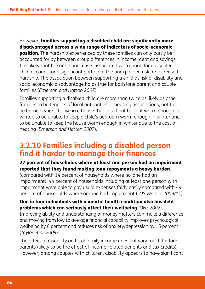However, families supporting a disabled child are significantly more disadvantaged across a wide range of indicators of socio-economic **position**. The hardship experienced by these families can only partly be accounted for by between group differences in income, debt and savings. It is likely that the additional costs associated with caring for a disabled child account for a significant portion of the unexplained risk for increased hardship. The association between supporting a child at risk of disability and socio-economic disadvantage holds true for both lone parent and couple families (*Emerson and Hatton 2007*).

Families supporting a disabled child are more than twice as likely as other families to be tenants of local authorities or housing associations, not to be home owners, to live in a house that could not be kept warm enough in winter, to be unable to keep a child's bedroom warm enough in winter and to be unable to keep the house warm enough in winter due to the cost of heating (*Emerson and Hatton 2007*).

#### **3.2.10 Families including a disabled person find it harder to manage their finances**

#### 27 percent of households where at least one person had an impairment reported that they found making loan repayments a heavy burden

(compared with 14 percent of households where no-one had an impairment). 44 percent of households including at least one person with impairment were able to pay usual expenses fairly easily compared with 49 percent of households where no-one had impairment (*LOS Wave 1 2009/11*).

#### One in four individuals with a mental health condition also has debt problems which can seriously affect their wellbeing (*ONS 2002*).

Improving ability and understanding of money matters can make a difference and moving from low to average financial capability improves psychological wellbeing by 6 percent and reduces risk of anxiety/depression by 15 percent (*Taylor et al. 2009*).

The effect of disability on total family income does not vary much for lone parents (likely to be the effect of income-related benefits and tax credits). However, among couples with children, disability appears to have significant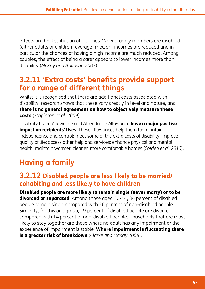effects on the distribution of incomes. Where family members are disabled (either adults or children) average (median) incomes are reduced and in particular the chances of having a high income are much reduced. Among couples, the effect of being a carer appears to lower incomes more than disability (*McKay and Atkinson 2007*).

# **3.2.11 'Extra costs' benefits provide support for a range of different things**

Whilst it is recognised that there are additional costs associated with disability, research shows that these vary greatly in level and nature, and there is no general agreement on how to objectively measure these costs (*Stapleton et al. 2009*).

Disability Living Allowance and Attendance Allowance **have a major positive impact on recipients' lives**. These allowances help them to: maintain independence and control; meet some of the extra costs of disability; improve quality of life; access other help and services; enhance physical and mental health; maintain warmer, cleaner, more comfortable homes (*Corden et al. 2010*).

# **Having a family**

#### **3.2.12 Disabled people are less likely to be married/ cohabiting and less likely to have children**

Disabled people are more likely to remain single (never marry) or to be divorced or separated. Among those aged 30-44, 36 percent of disabled people remain single compared with 26 percent of non-disabled people. Similarly, for this age group, 19 percent of disabled people are divorced compared with 14 percent of non-disabled people. Households that are most likely to stay together are those where no adult has any impairment or the experience of impairment is stable. Where impairment is fluctuating there is a greater risk of breakdown (*Clarke and McKay 2008*).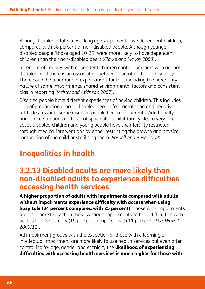Among disabled adults of working age 27 percent have dependent children, compared with 38 percent of non-disabled people. Although younger disabled people (those aged 20-29) were more likely to have dependent children than their non-disabled peers (*Clarke and McKay 2008*).

5 percent of couples with dependent children contain partners who are both disabled, and there is an association between parent and child disability. There could be a number of explanations for this, including the hereditary nature of some impairments, shared environmental factors and consistent bias in reporting (*McKay and Atkinson 2007*).

Disabled people have different experiences of having children. This includes lack of preparation among disabled people for parenthood and negative attitudes towards some disabled people becoming parents. Additionally financial restrictions and lack of space also inhibit family life. In very rare cases disabled children and young people have their fertility restricted through medical interventions by either restricting the growth and physical maturation of the child or sterilising them (*Parnell and Bush 2009*).

# **Inequalities in health**

#### **3.2.13 Disabled adults are more likely than non-disabled adults to experience difficulties accessing health services**

A higher proportion of adults with impairments compared with adults without impairments experience difficulty with access when using hospitals (34 percent compared with 25 percent). Those with impairments are also more likely than those without impairments to have difficulties with access to a GP surgery (19 percent compared with 11 percent) (*LOS Wave 1 2009/11*).

All impairment groups with the exception of those with a learning or intellectual impairment are more likely to use health services but even after controlling for age, gender and ethnicity the **likelihood of experiencing** difficulties with accessing health services is much higher for those with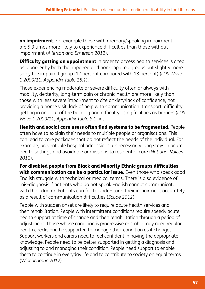an impairment. For example those with memory/speaking impairment are 5.3 times more likely to experience difficulties than those without impairment (*Allerton and Emerson 2012*).

**Difficulty getting an appointment** in order to access health services is cited as a barrier by both the impaired and non-impaired groups but slightly more so by the impaired group (17 percent compared with 13 percent) (*LOS Wave 1 2009/11, Appendix Table 18.1*).

Those experiencing moderate or severe difficulty often or always with mobility, dexterity, long-term pain or chronic health are more likely than those with less severe impairment to cite anxiety/lack of confidence, not providing a home visit, lack of help with communication, transport, difficulty getting in and out of the building and difficulty using facilities as barriers (*LOS Wave 1 2009/11, Appendix Table 8.1–4*).

Health and social care users often find systems to be fragmented. People often have to explain their needs to multiple people or organisations. This can lead to care packages that do not reflect the needs of the individual. For example, preventable hospital admissions, unnecessarily long stays in acute health settings and avoidable admissions to residential care (*National Voices 2011*).

For disabled people from Black and Minority Ethnic groups difficulties with communication can be a particular issue. Even those who speak good

English struggle with technical or medical terms. There is also evidence of mis-diagnosis if patients who do not speak English cannot communicate with their doctor. Patients can fail to understand their impairment accurately as a result of communication difficulties (*Scope 2012*).

People with sudden onset are likely to require acute health services and then rehabilitation. People with intermittent conditions require speedy acute health support at time of change and then rehabilitation through a period of adjustment. Those whose condition is progressive or stable may need regular health checks and be supported to manage their condition as it changes. Support workers and carers need to feel confident in having the appropriate knowledge. People need to be better supported in getting a diagnosis and adjusting to and managing their condition. People need support to enable them to continue in everyday life and to contribute to society on equal terms (*Winchcombe 2012*).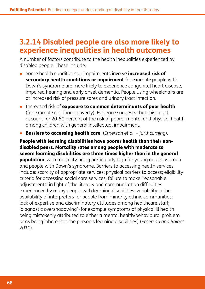# **3.2.14 Disabled people are also more likely to experience inequalities in health outcomes**

A number of factors contribute to the health inequalities experienced by disabled people. These include:

- Some health conditions or impairments involve **increased risk of** secondary health conditions or impairment for example people with Down's syndrome are more likely to experience congenital heart disease, impaired hearing and early onset dementia. People using wheelchairs are at increased risk of pressure sores and urinary tract infection.
- Increased risk of exposure to common determinants of poor health (for example childhood poverty). Evidence suggests that this could account for 20-50 percent of the risk of poorer mental and physical health among children with general intellectual impairment.
- **Barriers to accessing health care**. (*Emerson et al. forthcoming*).

People with learning disabilities have poorer health than their nondisabled peers. Mortality rates among people with moderate to severe learning disabilities are three times higher than in the general **population**, with mortality being particularly high for young adults, women and people with Down's syndrome. Barriers to accessing health services include: scarcity of appropriate services; physical barriers to access; eligibility criteria for accessing social care services; failure to make 'reasonable adjustments' in light of the literacy and communication difficulties experienced by many people with learning disabilities; variability in the availability of interpreters for people from minority ethnic communities; lack of expertise and discriminatory attitudes among healthcare staff; 'diagnostic overshadowing' (for example symptoms of physical ill health being mistakenly attributed to either a mental health/behavioural problem or as being inherent in the person's learning disabilities) (*Emerson and Baines 2011*).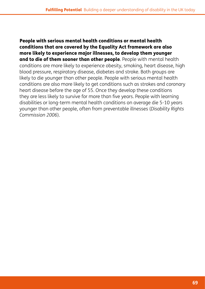People with serious mental health conditions or mental health conditions that are covered by the Equality Act framework are also more likely to experience major illnesses, to develop them younger and to die of them sooner than other people. People with mental health conditions are more likely to experience obesity, smoking, heart disease, high blood pressure, respiratory disease, diabetes and stroke. Both groups are likely to die younger than other people. People with serious mental health conditions are also more likely to get conditions such as strokes and coronary heart disease before the age of 55. Once they develop these conditions they are less likely to survive for more than five years. People with learning disabilities or long-term mental health conditions on average die 5-10 years younger than other people, often from preventable illnesses (*Disability Rights Commission 2006*).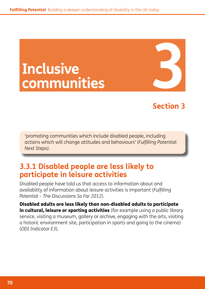# **Inclusive communities**

# **Section 3**

'promoting communities which include disabled people, including actions which will change attitudes and behaviours' (*Fulfilling Potential: Next Steps).*

# **3.3.1 Disabled people are less likely to participate in leisure activities**

Disabled people have told us that access to information about and availability of information about leisure activities is important (*Fulfilling Potential – The Discussions So Far 2012*).

Disabled adults are less likely than non-disabled adults to participate in cultural, leisure or sporting activities (for example using a public library service, visiting a museum, gallery or archive, engaging with the arts, visiting a historic environment site, participation in sports and going to the cinema) (*ODI Indicator E3*).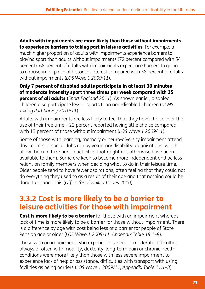Adults with impairments are more likely than those without impairments to experience barriers to taking part in leisure activities. For example a much higher proportion of adults with impairments experience barriers to playing sport than adults without impairments (72 percent compared with 54 percent). 68 percent of adults with impairments experience barriers to going to a museum or place of historical interest compared with 58 percent of adults without impairments (*LOS Wave 1 2009/11*).

Only 7 percent of disabled adults participate in at least 30 minutes of moderate intensity sport three times per week compared with 35 percent of all adults (*Sport England 2011*). As shown earlier, disabled children also participate less in sports than non-disabled children (*DCMS Taking Part Survey 2010/11*).

Adults with impairments are less likely to feel that they have choice over the use of their free time – 22 percent reported having little choice compared with 13 percent of those without impairment (*LOS Wave 1 2009/11*).

Some of those with learning, memory or neuro-diversity impairment attend day centres or social clubs run by voluntary disability organisations, which allow them to take part in activities that might not otherwise have been available to them. Some are keen to become more independent and be less reliant on family members when deciding what to do in their leisure time. Older people tend to have fewer aspirations, often feeling that they could not do everything they used to as a result of their age and that nothing could be done to change this (*Office for Disability Issues 2010*).

#### **3.3.2 Cost is more likely to be a barrier to leisure activities for those with impairment**

**Cost is more likely to be a barrier** for those with an impairment whereas lack of time is more likely to be a barrier for those without impairment. There is a difference by age with cost being less of a barrier for people of State Pension age or older (*LOS Wave 1 2009/11, Appendix Table 19.1–8*).

Those with an impairment who experience severe or moderate difficulties always or often with mobility, dexterity, long-term pain or chronic health conditions were more likely than those with less severe impairment to experience lack of help or assistance, difficulties with transport with using facilities as being barriers (*LOS Wave 1 2009/11, Appendix Table 11.1–8*).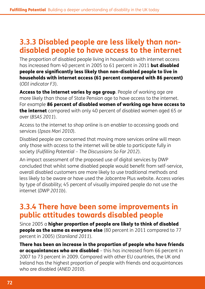# **3.3.3 Disabled people are less likely than nondisabled people to have access to the internet**

The proportion of disabled people living in households with internet access has increased from 40 percent in 2005 to 61 percent in 2011 **but disabled** people are significantly less likely than non-disabled people to live in households with internet access (61 percent compared with 86 percent) (*ODI indicator F3*).

Access to the internet varies by age group. People of working age are more likely than those of State Pension age to have access to the internet. For example 86 percent of disabled women of working age have access to the internet compared with only 40 percent of disabled women aged 65 or over (*BSAS 2011*).

Access to the internet to shop online is an enabler to accessing goods and services (*Ipsos Mori 2010*).

Disabled people are concerned that moving more services online will mean only those with access to the internet will be able to participate fully in society (*Fulfilling Potential – The Discussions So Far 2012*).

An impact assessment of the proposed use of digital services by DWP concluded that whilst some disabled people would benefit from self-service, overall disabled customers are more likely to use traditional methods and less likely to be aware or have used the Jobcentre Plus website. Access varies by type of disability; 45 percent of visually impaired people do not use the internet (*DWP 2011b*).

#### **3.3.4 There have been some improvements in public attitudes towards disabled people**

Since 2005 a higher proportion of people are likely to think of disabled **people as the same as everyone else** (80 percent in 2011 compared to 77 percent in 2005) (*Staniland 2011*).

There has been an increase in the proportion of people who have friends or acquaintances who are disabled – this has increased from 66 percent in 2007 to 73 percent in 2009. Compared with other EU countries, the UK and Ireland has the highest proportion of people with friends and acquaintances who are disabled (*ANED 2010*).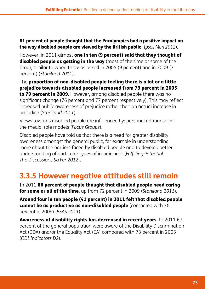#### 81 percent of people thought that the Paralympics had a positive impact on the way disabled people are viewed by the British public (*Ipsos Mori 2012*).

However, in 2011 almost one in ten (9 percent) said that they thought of **disabled people as getting in the way** (most of the time or some of the time), similar to when this was asked in 2005 (9 percent) and in 2009 (7 percent) (*Staniland 2011*).

The proportion of non-disabled people feeling there is a lot or a little prejudice towards disabled people increased from 73 percent in 2005 to 79 percent in 2009. However, among disabled people there was no

significant change (76 percent and 77 percent respectively). This may reflect increased public awareness of prejudice rather than an actual increase in prejudice (*Staniland 2011*).

Views towards disabled people are influenced by: personal relationships; the media; role models (*Focus Groups*).

Disabled people have told us that there is a need for greater disability awareness amongst the general public, for example in understanding more about the barriers faced by disabled people and to develop better understanding of particular types of impairment (*Fulfilling Potential – The Discussions So Far 2012*).

# **3.3.5 However negative attitudes still remain**

In 2011 86 percent of people thought that disabled people need caring for some or all of the time, up from 72 percent in 2009 (*Staniland 2011*).

Around four in ten people (41 percent) in 2011 felt that disabled people cannot be as productive as non-disabled people (compared with 36 percent in 2009) (*BSAS 2011*).

Awareness of disability rights has decreased in recent years. In 2011 67 percent of the general population were aware of the Disability Discrimination Act (DDA) and/or the Equality Act (EA) compared with 73 percent in 2005 (*ODI Indicators D2*).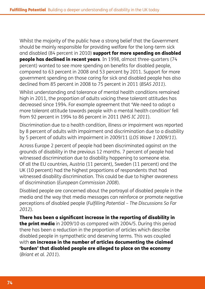Whilst the majority of the public have a strong belief that the Government should be mainly responsible for providing welfare for the long-term sick and disabled (84 percent in 2010) support for more spending on disabled people has declined in recent years. In 1998, almost three-quarters (74 percent) wanted to see more spending on benefits for disabled people, compared to 63 percent in 2008 and 53 percent by 2011. Support for more government spending on those caring for sick and disabled people has also declined from 85 percent in 2008 to 75 percent in 2011 (*BSAS 2011*).

Whilst understanding and tolerance of mental health conditions remained high in 2011, the proportion of adults voicing these tolerant attitudes has decreased since 1994. For example agreement that 'We need to adopt a more tolerant attitude towards people with a mental health condition' fell from 92 percent in 1994 to 86 percent in 2011 (*NHS IC 2011*).

Discrimination due to a health condition, illness or impairment was reported by 8 percent of adults with impairment and discrimination due to a disability by 5 percent of adults with impairment in 2009/11 (*LOS Wave 1 2009/11*).

Across Europe 2 percent of people had been discriminated against on the grounds of disability in the previous 12 months. 7 percent of people had witnessed discrimination due to disability happening to someone else. Of all the EU countries, Austria (11 percent), Sweden (11 percent) and the UK (10 percent) had the highest proportions of respondents that had witnessed disability discrimination. This could be due to higher awareness of discrimination (*European Commission 2008*).

Disabled people are concerned about the portrayal of disabled people in the media and the way that media messages can reinforce or promote negative perceptions of disabled people (*Fulfilling Potential – The Discussions So Far 2012*).

There has been a significant increase in the reporting of disability in the print media in 2009/10 as compared with 2004/5. During this period there has been a reduction in the proportion of articles which describe disabled people in sympathetic and deserving terms. This was coupled with an increase in the number of articles documenting the claimed 'burden' that disabled people are alleged to place on the economy (*Briant et al. 2011*).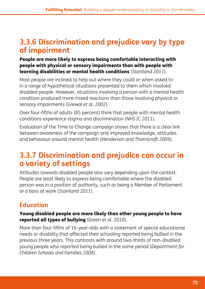# **3.3.6 Discrimination and prejudice vary by type of impairment**

#### People are more likely to express being comfortable interacting with people with physical or sensory impairments than with people with learning disabilities or mental health conditions (*Staniland 2011*).

Most people are inclined to help out where they could or when asked to in a range of hypothetical situations presented to them which involved disabled people. However, situations involving a person with a mental health condition produced more mixed reactions than those involving physical or sensory impairments (*Grewal et al. 2002*).

Over four-fifths of adults (85 percent) think that people with mental health conditions experience stigma and discrimination (*NHS IC 2011*).

Evaluation of the Time to Change campaign shows that there is a clear link between awareness of the campaign and improved knowledge, attitudes and behaviour around mental health (*Henderson and Thornicroft 2009*).

# **3.3.7 Discrimination and prejudice can occur in a variety of settings**

Attitudes towards disabled people also vary depending upon the context. People are least likely to express being comfortable where the disabled person was in a position of authority, such as being a Member of Parliament or a boss at work (*Staniland 2011*).

#### **Education**

#### Young disabled people are more likely than other young people to have reported all types of bullying (*Green et al. 2010*).

More than four-fifths of 16-year-olds with a statement of special educational needs or disability that affected their schooling reported being bullied in the previous three years. This contrasts with around two-thirds of non-disabled young people who reported being bullied in the same period (*Department for Children Schools and Families 2008*).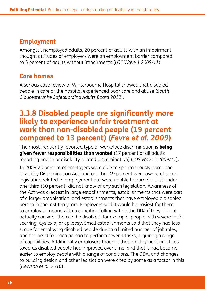#### **Employment**

Amongst unemployed adults, 20 percent of adults with an impairment thought attitudes of employers were an employment barrier compared to 6 percent of adults without impairments (*LOS Wave 1 2009/11*).

#### **Care homes**

A serious case review of Winterbourne Hospital showed that disabled people in care of the hospital experienced poor care and abuse (*South Gloucestershire Safeguarding Adults Board 2012*).

#### **3.3.8 Disabled people are significantly more likely to experience unfair treatment at work than non-disabled people (19 percent compared to 13 percent) (***Fevre et al. 2009***)**

The most frequently reported type of workplace discrimination is **being** given fewer responsibilities than wanted (17 percent of all adults reporting health or disability related discrimination) (*LOS Wave 1 2009/11*).

In 2009 20 percent of employers were able to spontaneously name the Disability Discrimination Act; and another 49 percent were aware of some legislation related to employment but were unable to name it. Just under one-third (30 percent) did not know of any such legislation. Awareness of the Act was greatest in large establishments, establishments that were part of a larger organisation, and establishments that have employed a disabled person in the last ten years. Employers said it would be easiest for them to employ someone with a condition falling within the DDA if they did not actually consider them to be disabled, for example, people with severe facial scarring, dyslexia, or epilepsy. Small establishments said that they had less scope for employing disabled people due to a limited number of job roles, and the need for each person to perform several tasks, requiring a range of capabilities. Additionally employers thought that employment practices towards disabled people had improved over time, and that it had become easier to employ people with a range of conditions. The DDA, and changes to building design and other legislation were cited by some as a factor in this (*Dewson et al. 2010*).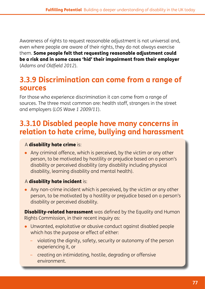Awareness of rights to request reasonable adjustment is not universal and, even where people are aware of their rights, they do not always exercise them. Some people felt that requesting reasonable adjustment could be a risk and in some cases 'hid' their impairment from their employer (*Adams and Oldfield 2012*).

# **3.3.9 Discrimination can come from a range of sources**

For those who experience discrimination it can come from a range of sources. The three most common are: health staff, strangers in the street and employers (*LOS Wave 1 2009/11*).

# **3.3.10 Disabled people have many concerns in relation to hate crime, bullying and harassment**

#### A disability hate crime is:

● Any criminal offence, which is perceived, by the victim or any other person, to be motivated by hostility or prejudice based on a person's disability or perceived disability (any disability including physical disability, learning disability and mental health).

#### A disability hate incident is:

● Any non-crime incident which is perceived, by the victim or any other person, to be motivated by a hostility or prejudice based on a person's disability or perceived disability.

**Disability-related harassment** was defined by the Equality and Human Rights Commission, in their recent inquiry as:

- Unwanted, exploitative or abusive conduct against disabled people which has the purpose or effect of either:
	- violating the dignity, safety, security or autonomy of the person experiencing it, or
	- creating an intimidating, hostile, degrading or offensive environment.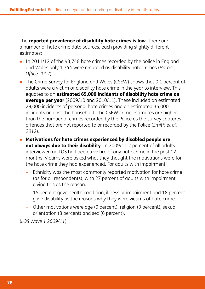The reported prevalence of disability hate crimes is low. There are a number of hate crime data sources, each providing slightly different estimates:

- In 2011/12 of the 43,748 hate crimes recorded by the police in England and Wales only 1,744 were recorded as disability hate crimes (*Home Office 2012*).
- The Crime Survey for England and Wales (CSEW) shows that 0.1 percent of adults were a victim of disability hate crime in the year to interview. This equates to an estimated 65,000 incidents of disability hate crime on average per year (2009/10 and 2010/11). These included an estimated 29,000 incidents of personal hate crimes and an estimated 35,000 incidents against the household. The CSEW crime estimates are higher than the number of crimes recorded by the Police as the survey captures offences that are not reported to or recorded by the Police (*Smith et al. 2012*).
- Motivations for hate crimes experienced by disabled people are not always due to their disability. In 2009/11 2 percent of all adults interviewed on LOS had been a victim of any hate crime in the past 12 months. Victims were asked what they thought the motivations were for the hate crime they had experienced. For adults with impairment:
	- Ethnicity was the most commonly reported motivation for hate crime (as for all respondents); with 27 percent of adults with impairment giving this as the reason.
	- 15 percent gave health condition, illness or impairment and 18 percent gave disability as the reasons why they were victims of hate crime.
	- Other motivations were age (9 percent), religion (9 percent), sexual orientation (8 percent) and sex (6 percent).

(*LOS Wave 1 2009/11*)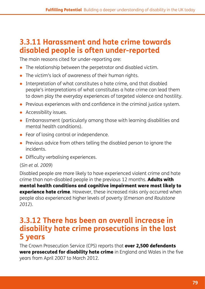# **3.3.11 Harassment and hate crime towards disabled people is often under-reported**

The main reasons cited for under-reporting are:

- The relationship between the perpetrator and disabled victim.
- The victim's lack of awareness of their human rights.
- Interpretation of what constitutes a hate crime, and that disabled people's interpretations of what constitutes a hate crime can lead them to down play the everyday experiences of targeted violence and hostility.
- Previous experiences with and confidence in the criminal justice system.
- Accessibility issues.
- Embarrassment (particularly among those with learning disabilities and mental health conditions).
- Fear of losing control or independence.
- Previous advice from others telling the disabled person to ignore the incidents.
- Difficulty verbalising experiences.

#### (*Sin et al. 2009*)

Disabled people are more likely to have experienced violent crime and hate crime than non-disabled people in the previous 12 months. Adults with mental health conditions and cognitive impairment were most likely to **experience hate crime**. However, these increased risks only occurred when people also experienced higher levels of poverty (*Emerson and Roulstone 2012*).

#### **3.3.12 There has been an overall increase in disability hate crime prosecutions in the last 5 years**

The Crown Prosecution Service (CPS) reports that over 2,500 defendants were prosecuted for disability hate crime in England and Wales in the five years from April 2007 to March 2012.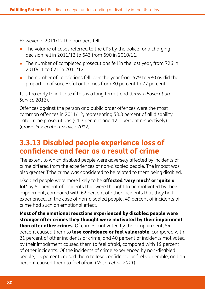However in 2011/12 the numbers fell:

- The volume of cases referred to the CPS by the police for a charging decision fell in 2011/12 to 643 from 690 in 2010/11.
- The number of completed prosecutions fell in the last year, from 726 in 2010/11 to 621 in 2011/12.
- The number of convictions fell over the year from 579 to 480 as did the proportion of successful outcomes from 80 percent to 77 percent.

It is too early to indicate if this is a long term trend (*Crown Prosecution Service 2012*).

Offences against the person and public order offences were the most common offences in 2011/12, representing 53.8 percent of all disability hate crime prosecutions (41.7 percent and 12.1 percent respectively) (*Crown Prosecution Service 2012*).

# **3.3.13 Disabled people experience loss of confidence and fear as a result of crime**

The extent to which disabled people were adversely affected by incidents of crime differed from the experiences of non-disabled people. The impact was also greater if the crime was considered to be related to them being disabled.

Disabled people were more likely to be **affected 'very much' or 'quite a** lot' by 81 percent of incidents that were thought to be motivated by their impairment, compared with 62 percent of other incidents that they had experienced. In the case of non-disabled people, 49 percent of incidents of crime had such an emotional effect.

Most of the emotional reactions experienced by disabled people were stronger after crimes they thought were motivated by their impairment than after other crimes. Of crimes motivated by their impairment, 54 percent caused them to lose confidence or feel vulnerable, compared with 21 percent of other incidents of crime; and 40 percent of incidents motivated by their impairment caused them to feel afraid, compared with 19 percent of other incidents. Of the incidents of crime experienced by non-disabled people, 15 percent caused them to lose confidence or feel vulnerable, and 15 percent caused them to feel afraid (*Nocon et al. 2011*).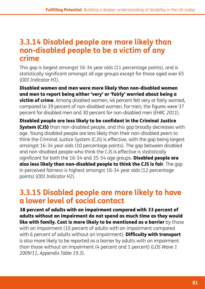#### **3.3.14 Disabled people are more likely than non-disabled people to be a victim of any crime**

This gap is largest amongst 16-34 year olds (11 percentage points), and is statistically significant amongst all age groups except for those aged over 65 (*ODI Indicator H1*).

Disabled women and men were more likely than non-disabled women and men to report being either 'very' or 'fairly' worried about being a **victim of crime**. Among disabled women, 46 percent felt very or fairly worried, compared to 39 percent of non-disabled women. For men, the figures were 37 percent for disabled men and 30 percent for non-disabled men (*EHRC 2011*).

Disabled people are less likely to be confident in the Criminal Justice **System (CJS)** than non-disabled people, and this gap broadly decreases with age. Young disabled people are less likely than their non-disabled peers to think the Criminal Justice System (CJS) is effective, with the gap being largest amongst 16-34 year olds (10 percentage points). The gap between disabled and non-disabled people who think the CJS is effective is statistically significant for both the 16-34 and 35-54 age groups. Disabled people are also less likely than non-disabled people to think the CJS is fair. The gap in perceived fairness is highest amongst 16-34 year olds (12 percentage points) (*ODI Indicator H2*).

## **3.3.15 Disabled people are more likely to have a lower level of social contact**

38 percent of adults with an impairment compared with 33 percent of adults without an impairment do not spend as much time as they would like with family. Cost is more likely to be mentioned as a barrier by those with an impairment (10 percent of adults with an impairment compared with 6 percent of adults without an impairment). **Difficulty with transport** is also more likely to be reported as a barrier by adults with an impairment than those without an impairment (4 percent and 1 percent) (*LOS Wave 1 2009/11, Appendix Table 19.3*).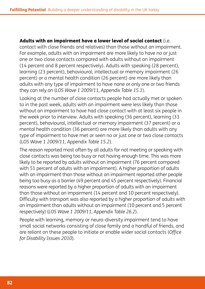Adults with an impairment have a lower level of social contact (i.e. contact with close friends and relatives) than those without an impairment. For example, adults with an impairment are more likely to have no or just one or two close contacts compared with adults without an impairment (14 percent and 8 percent respectively). Adults with speaking (28 percent), learning (23 percent), behavioural, intellectual or memory impairment (26 percent) or a mental health condition (26 percent) are more likely than adults with any type of impairment to have none or only one or two friends they can rely on (*LOS Wave 1 2009/11, Appendix Table 15.1*).

Looking at the number of close contacts people had actually met or spoken to in the past week, adults with an impairment were less likely than those without an impairment to have had close contact with at least six people in the week prior to interview. Adults with speaking (36 percent), learning (33 percent), behavioural, intellectual or memory impairment (37 percent) or a mental health condition (36 percent) are more likely than adults with any type of impairment to have met or seen no or just one or two close contacts (*LOS Wave 1 2009/11, Appendix Table 15.2*).

The reason reported most often by all adults for not meeting or speaking with close contacts was being too busy or not having enough time. This was more likely to be reported by adults without an impairment (76 percent compared with 51 percent of adults with an impairment). A higher proportion of adults with an impairment than those without an impairment reported other people being too busy as a barrier (49 percent and 45 percent respectively). Financial reasons were reported by a higher proportion of adults with an impairment than those without an impairment (14 percent and 10 percent respectively). Difficulty with transport was also reported by a higher proportion of adults with an impairment than adults without an impairment (10 percent and 5 percent respectively) (*LOS Wave 1 2009/11, Appendix Table 26.2*).

People with learning, memory or neuro-diversity impairment tend to have small social networks consisting of close family and a handful of friends, and are reliant on these people to initiate or enable wider social contacts (*Office for Disability Issues 2010*).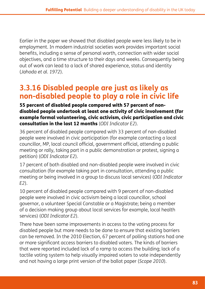Earlier in the paper we showed that disabled people were less likely to be in employment. In modern industrial societies work provides important social benefits, including a sense of personal worth, connection with wider social objectives, and a time structure to their days and weeks. Consequently being out of work can lead to a lack of shared experience, status and identity (*Jahoda et al. 1972*).

# **3.3.16 Disabled people are just as likely as non-disabled people to play a role in civic life**

#### 55 percent of disabled people compared with 57 percent of nondisabled people undertook at least one activity of civic involvement (for example formal volunteering, civic activism, civic participation and civic consultation in the last 12 months (*ODI Indicator E2*).

36 percent of disabled people compared with 33 percent of non-disabled people were involved in civic participation (for example contacting a local councillor, MP, local council official, government official, attending a public meeting or rally, taking part in a public demonstration or protest, signing a petition) (*ODI Indicator E2*).

17 percent of both disabled and non-disabled people were involved in civic consultation (for example taking part in consultation, attending a public meeting or being involved in a group to discuss local services) (*ODI Indicator E2*).

10 percent of disabled people compared with 9 percent of non-disabled people were involved in civic activism being a local councillor, school governor, a volunteer Special Constable or a Magistrate; being a member of a decision making group about local services for example, local health services) (*ODI Indicator E2*).

There have been some improvements in access to the voting process for disabled people but more needs to be done to ensure that existing barriers can be removed. In the 2010 Election, 67 percent of polling stations had one or more significant access barriers to disabled voters. The kinds of barriers that were reported included lack of a ramp to access the building; lack of a tactile voting system to help visually impaired voters to vote independently and not having a large print version of the ballot paper (*Scope 2010*).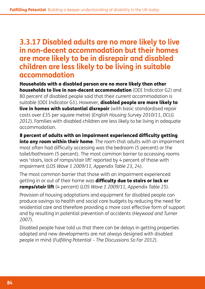#### **3.3.17 Disabled adults are no more likely to live in non-decent accommodation but their homes are more likely to be in disrepair and disabled children are less likely to be living in suitable accommodation**

Households with a disabled person are no more likely than other households to live in non-decent accommodation (ODI Indicator G2) and 80 percent of disabled people said that their current accommodation is suitable (ODI Indicator G1). However, **disabled people are more likely to** live in homes with substantial disrepair (with basic standardised repair costs over £35 per square metre) (*English Housing Survey 2010/11, DCLG 2012*). Families with disabled children are less likely to be living in adequate accommodation.

8 percent of adults with an impairment experienced difficulty getting into any room within their home. The room that adults with an impairment most often had difficulty accessing was the bedroom (5 percent) or the toilet/bathroom (5 percent). The most common barrier to accessing rooms was 'stairs, lack of ramps/stair lift' reported by 4 percent of those with impairment (*LOS Wave 1 2009/11, Appendix Table 23, 24*).

The most common barrier that those with an impairment experienced getting in or out of their home was difficulty due to stairs or lack or ramps/stair lift (4 percent) (*LOS Wave 1 2009/11, Appendix Table 25*).

Provision of housing adaptations and equipment for disabled people can produce savings to health and social care budgets by reducing the need for residential care and therefore providing a more cost effective form of support and by resulting in potential prevention of accidents (*Heywood and Turner 2007*).

Disabled people have told us that there can be delays in getting properties adapted and new developments are not always designed with disabled people in mind (*Fulfilling Potential – The Discussions So Far 2012*).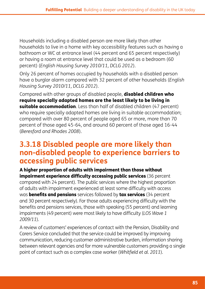Households including a disabled person are more likely than other households to live in a home with key accessibility features such as having a bathroom or WC at entrance level (44 percent and 65 percent respectively) or having a room at entrance level that could be used as a bedroom (60 percent) (*English Housing Survey 2010/11, DCLG 2012*).

Only 26 percent of homes occupied by households with a disabled person have a burglar alarm compared with 32 percent of other households (*English Housing Survey 2010/11, DCLG 2012*).

Compared with other groups of disabled people, **disabled children who** require specially adapted homes are the least likely to be living in **suitable accommodation**. Less than half of disabled children (47 percent) who require specially adapted homes are living in suitable accommodation; compared with over 80 percent of people aged 65 or more, more than 70 percent of those aged 45-64, and around 60 percent of those aged 16-44 (*Beresford and Rhodes 2008*).

#### **3.3.18 Disabled people are more likely than non-disabled people to experience barriers to accessing public services**

A higher proportion of adults with impairment than those without impairment experience difficulty accessing public services (36 percent compared with 24 percent). The public services where the highest proportion of adults with impairment experienced at least some difficulty with access was **benefits and pensions** services followed by **tax services** (34 percent and 30 percent respectively). For those adults experiencing difficulty with the benefits and pensions services, those with speaking (55 percent) and learning impairments (49 percent) were most likely to have difficulty (*LOS Wave 1 2009/11*).

A review of customers' experiences of contact with the Pension, Disability and Carers Service concluded that the service could be improved by improving communication, reducing customer administrative burden, information sharing between relevant agencies and for more vulnerable customers providing a single point of contact such as a complex case worker (*Whitfield et al. 2011*).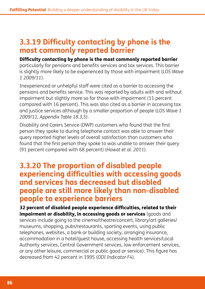# **3.3.19 Difficulty contacting by phone is the most commonly reported barrier**

Difficulty contacting by phone is the most commonly reported barrier particularly for pensions and benefits services and tax services. This barrier is slightly more likely to be experienced by those with impairment (*LOS Wave 1 2009/11*).

Inexperienced or unhelpful staff were cited as a barrier to accessing the pensions and benefits service. This was reported by adults with and without impairment but slightly more so for those with impairment (11 percent compared with 16 percent). This was also cited as a barrier in accessing tax and justice services although by a smaller proportion of people (*LOS Wave 1 2009/11, Appendix Table 18.3,5)*.

Disability and Carers Service (DWP) customers who found that the first person they spoke to during telephone contact was able to answer their query reported higher levels of overall satisfaction than customers who found that the first person they spoke to was unable to answer their query (91 percent compared with 68 percent) (*Howat et al. 2011*).

#### **3.3.20 The proportion of disabled people experiencing difficulties with accessing goods and services has decreased but disabled people are still more likely than non-disabled people to experience barriers**

32 percent of disabled people experience difficulties, related to their impairment or disability, in accessing goods or services (goods and services include going to the cinema/theatre/concert, library/art galleries/ museums, shopping, pubs/restaurants, sporting events, using public telephones, websites, a bank or building society, arranging insurance, accommodation in a hotel/guest house, accessing health services/Local Authority services, Central Government services, law enforcement services, or any other leisure, commercial or public good or service). This figure has decreased from 42 percent in 1995 (*ODI Indicator F4*).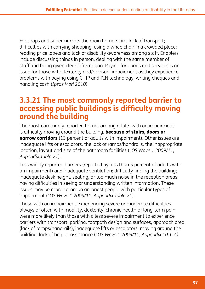For shops and supermarkets the main barriers are: lack of transport; difficulties with carrying shopping; using a wheelchair in a crowded place; reading price labels and lack of disability awareness among staff. Enablers include discussing things in person, dealing with the same member of staff and being given clear information. Paying for goods and services is an issue for those with dexterity and/or visual impairment as they experience problems with paying using CHIP and PIN technology, writing cheques and handling cash (*Ipsos Mori 2010*).

# **3.3.21 The most commonly reported barrier to accessing public buildings is difficulty moving around the building**

The most commonly reported barrier among adults with an impairment is difficulty moving around the building, **because of stairs, doors or** narrow corridors (13 percent of adults with impairment). Other issues are inadequate lifts or escalators, the lack of ramps/handrails, the inappropriate location, layout and size of the bathroom facilities (*LOS Wave 1 2009/11, Appendix Table 21*).

Less widely reported barriers (reported by less than 5 percent of adults with an impairment) are: inadequate ventilation; difficulty finding the building; inadequate desk height, seating, or too much noise in the reception areas; having difficulties in seeing or understanding written information. These issues may be more common amongst people with particular types of impairment (*LOS Wave 1 2009/11, Appendix Table 21*).

Those with an impairment experiencing severe or moderate difficulties always or often with mobility, dexterity, chronic health or long-term pain were more likely than those with a less severe impairment to experience barriers with transport, parking, footpath design and surfaces, approach area (lack of ramps/handrails), inadequate lifts or escalators, moving around the building, lack of help or assistance (*LOS Wave 1 2009/11, Appendix 10.1–4).*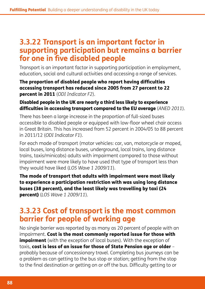# **3.3.22 Transport is an important factor in supporting participation but remains a barrier for one in five disabled people**

Transport is an important factor in supporting participation in employment, education, social and cultural activities and accessing a range of services.

#### The proportion of disabled people who report having difficulties accessing transport has reduced since 2005 from 27 percent to 22 percent in 2011 (*ODI Indicator F2*).

#### Disabled people in the UK are nearly a third less likely to experience difficulties in accessing transport compared to the EU average (*ANED 2011*).

There has been a large increase in the proportion of full-sized buses accessible to disabled people or equipped with low-floor wheel chair access in Great Britain. This has increased from 52 percent in 2004/05 to 88 percent in 2011/12 (*ODI Indicator F1*).

For each mode of transport (motor vehicles: car, van, motorcycle or moped, local buses, long distance buses, underground, local trains, long distance trains, taxis/minicabs) adults with impairment compared to those without impairment were more likely to have used that type of transport less than they would have liked (*LOS Wave 1 2009/11*).

The mode of transport that adults with impairment were most likely to experience a participation restriction with was using long distance buses (38 percent), and the least likely was travelling by taxi (24 percent) (*LOS Wave 1 2009/11*).

## **3.3.23 Cost of transport is the most common barrier for people of working age**

No single barrier was reported by as many as 20 percent of people with an impairment. Cost is the most commonly reported issue for those with **impairment** (with the exception of local buses). With the exception of taxis, cost is less of an issue for those of State Pension age or older – probably because of concessionary travel. Completing bus journeys can be a problem as can getting to the bus stop or station; getting from the stop to the final destination or getting on or off the bus. Difficulty getting to or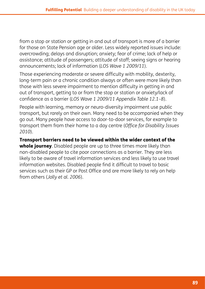from a stop or station or getting in and out of transport is more of a barrier for those on State Pension age or older. Less widely reported issues include: overcrowding; delays and disruption; anxiety; fear of crime; lack of help or assistance; attitude of passengers; attitude of staff; seeing signs or hearing announcements; lack of information (*LOS Wave 1 2009/11*).

Those experiencing moderate or severe difficulty with mobility, dexterity, long-term pain or a chronic condition always or often were more likely than those with less severe impairment to mention difficulty in getting in and out of transport, getting to or from the stop or station or anxiety/lack of confidence as a barrier (*LOS Wave 1 2009/11 Appendix Table 12.1–8*).

People with learning, memory or neuro-diversity impairment use public transport, but rarely on their own. Many need to be accompanied when they go out. Many people have access to door-to-door services, for example to transport them from their home to a day centre (*Office for Disability Issues 2010*).

Transport barriers need to be viewed within the wider context of the whole journey. Disabled people are up to three times more likely than non-disabled people to cite poor connections as a barrier. They are less likely to be aware of travel information services and less likely to use travel information websites. Disabled people find it difficult to travel to basic services such as their GP or Post Office and are more likely to rely on help from others (*Jolly et al. 2006*).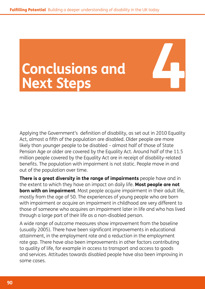# **Conclusions and Conclusions and 14 Mext Steps**

Applying the Government's definition of disability, as set out in 2010 Equality Act, almost a fifth of the population are disabled. Older people are more likely than younger people to be disabled – almost half of those of State Pension Age or older are covered by the Equality Act. Around half of the 11.5 million people covered by the Equality Act are in receipt of disability-related benefits. The population with impairment is not static. People move in and out of the population over time.

**There is a great diversity in the range of impairments** people have and in the extent to which they have an impact on daily life. **Most people are not born with an impairment**. Most people acquire impairment in their adult life, mostly from the age of 50. The experiences of young people who are born with impairment or acquire an impairment in childhood are very different to those of someone who acquires an impairment later in life and who has lived through a large part of their life as a non-disabled person.

A wide range of outcome measures show improvement from the baseline (usually 2005). There have been significant improvements in educational attainment, in the employment rate and a reduction in the employment rate gap. There have also been improvements in other factors contributing to quality of life, for example in access to transport and access to goods and services. Attitudes towards disabled people have also been improving in some cases.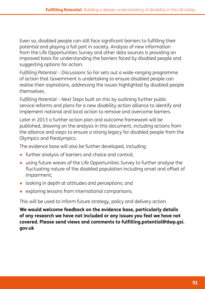Even so, disabled people can still face significant barriers to fulfilling their potential and playing a full part in society. Analysis of new information from the Life Opportunities Survey and other data sources is providing an improved basis for understanding the barriers faced by disabled people and suggesting options for action.

*[Fulfilling Potential – Discussions So Far](http://www.odi.gov.uk/fulfilling-potential)* sets out a wide-ranging programme of action that Government is undertaking to ensure disabled people can realise their aspirations, addressing the issues highlighted by disabled people themselves.

*Fulfilling Potential – Next Steps* built on this by outlining further public service reforms and plans for a new disability action alliance to identify and implement national and local action to remove and overcome barriers.

Later in 2013 a further action plan and outcome framework will be published, drawing on the analysis in this document, including actions from the alliance and steps to ensure a strong legacy for disabled people from the Olympics and Paralympics.

The evidence base will also be further developed, including:

- further analysis of barriers and choice and control;
- using future waves of the Life Opportunities Survey to further analyse the fluctuating nature of the disabled population including onset and offset of impairment;
- looking in depth at attitudes and perceptions; and
- exploring lessons from international comparisons.

This will be used to inform future strategy, policy and delivery action.

**We would welcome feedback on the evidence base, particularly details of any research we have not included or any issues you feel we have not covered. Please send views and comments to fulfilling.potential@dwp.gsi. gov.uk**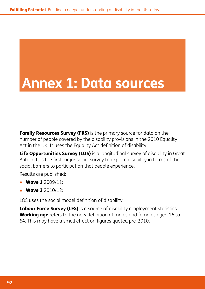# **Annex 1: Data sources**

**[Family Resources Survey \(FRS\)](http://research.dwp.gov.uk/asd/frs/)** is the primary source for data on the number of people covered by the disability provisions in the 2010 Equality Act in the UK. It uses the Equality Act definition of disability.

[Life Opportunities Survey \(LOS\)](http://statistics.dwp.gov.uk/asd/asd1/los/index.php?page=los) is a longitudinal survey of disability in Great Britain. It is the first major social survey to explore disability in terms of the social barriers to participation that people experience.

Results are published:

- **[Wave 1](http://statistics.dwp.gov.uk/asd/asd1/los/index.php?page=los_wor)** 2009/11:
- **[Wave 2](http://www.ons.gov.uk/ons/rel/los/life-opportunities-survey/wave-two--part-i/index.html) 2010/12:**

LOS uses the social model definition of disability.

[Labour Force Survey \(LFS\)](http://www.ons.gov.uk/ons/guide-method/surveys/list-of-surveys/survey.html?survey=Labour+Force+Survey) is a source of disability employment statistics. Working age refers to the new definition of males and females aged 16 to 64. This may have a small effect on figures quoted pre-2010.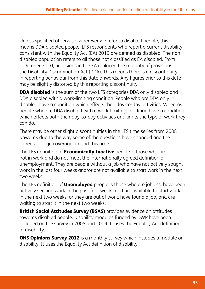Unless specified otherwise, wherever we refer to disabled people, this means DDA disabled people. LFS respondents who report a current disability consistent with the Equality Act (EA) 2010 are defined as disabled. The nondisabled population refers to all those not classified as EA disabled. From 1 October 2010, provisions in the EA replaced the majority of provisions in the Disability Discrimination Act (DDA). This means there is a discontinuity in reporting behaviour from this date onwards. Any figures prior to this date may be slightly distorted by this reporting discontinuity.

**DDA disabled** is the sum of the two LFS categories DDA only disabled and DDA disabled with a work-limiting condition. People who are DDA only disabled have a condition which effects their day-to-day activities. Whereas people who are DDA disabled with a work-limiting condition have a condition which effects both their day-to-day activities and limits the type of work they can do.

There may be other slight discontinuities in the LFS time series from 2008 onwards due to the way some of the questions have changed and the increase in age coverage around this time.

The LFS definition of **Economically Inactive** people is those who are not in work and do not meet the internationally agreed definition of unemployment. They are people without a job who have not actively sought work in the last four weeks and/or are not available to start work in the next two weeks.

The LFS definition of **Unemployed** people is those who are jobless, have been actively seeking work in the past four weeks and are available to start work in the next two weeks; or they are out of work, have found a job, and are waiting to start it in the next two weeks.

[British Social Attitudes Survey \(BSAS\)](http://www.natcen.ac.uk/series/british-social-attitudes) provides evidence on attitudes towards disabled people. Disability modules funded by DWP have been included on the survey in 2005 and 2009. It uses the Equality Act definition of disability.

**[ONS Opinions Survey 2012](http://www.ons.gov.uk/ons/about-ons/who-we-are/services/opinions-and-lifestyle-survey/opinions-and-lifestyle-survey--opn-.html)** is a monthly survey which includes a module on disability. It uses the Equality Act definition of disability.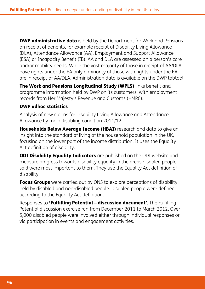**[DWP administrative data](http://statistics.dwp.gov.uk/asd/index.php?page=tabtool)** is held by the Department for Work and Pensions on receipt of benefits, for example receipt of Disability Living Allowance (DLA), Attendance Allowance (AA), Employment and Support Allowance (ESA) or Incapacity Benefit (IB). AA and DLA are assessed on a person's care and/or mobility needs. While the vast majority of those in receipt of AA/DLA have rights under the EA only a minority of those with rights under the EA are in receipt of AA/DLA. Administration data is available on the [DWP tabtool.](http://statistics.dwp.gov.uk/asd/index.php?page=tabtool)

The Work and Pensions Longitudinal Study (WPLS) links benefit and programme information held by DWP on its customers, with employment records from Her Majesty's Revenue and Customs (HMRC).

#### [DWP adhoc statistics](http://statistics.dwp.gov.uk/asd/asd1/adhoc_analysis/2012/DLA_AA_onflows_2011_2012.pdf)

Analysis of new claims for Disability Living Allowance and Attendance Allowance by main disabling condition 2011/12*.* 

[Households Below Average Income \(HBAI\)](http://research.dwp.gov.uk/asd/index.php?page=hbai) research and data to give an insight into the standard of living of the household population in the UK, focusing on the lower part of the income distribution. It uses the Equality Act definition of disability.

**[ODI Disability Equality Indicators](http://odi.dwp.gov.uk/disability-statistics-and-research/disability-equality-indicators.php)** are published on the ODI website and measure progress towards disability equality in the areas disabled people said were most important to them. They use the Equality Act definition of disability.

Focus Groups were carried out by ONS to explore perceptions of disability held by disabled and non-disabled people. Disabled people were defined according to the Equality Act definition.

Responses to **'[Fulfilling Potential – discussion document'](http://odi.dwp.gov.uk/docs/fulfilling-potential/fulfilling-potential-discussion.pdf)**. The Fulfilling Potential discussion exercise ran from December 2011 to March 2012. Over 5,000 disabled people were involved either through individual responses or via participation in events and engagement activities.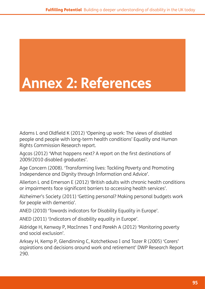# **Annex 2: References**

Adams L and Oldfield K (2012) 'Opening up work: The views of disabled people and people with long-term health conditions' Equality and Human Rights Commission Research report.

Agcas (2012) 'What happens next? A report on the first destinations of 2009/2010 disabled graduates'.

Age Concern (2008). 'Transforming lives: Tackling Poverty and Promoting Independence and Dignity through Information and Advice'.

Allerton L and Emerson E (2012) 'British adults with chronic health conditions or impairments face significant barriers to accessing health services'.

Alzheimer's Society (2011) 'Getting personal? Making personal budgets work for people with dementia'.

ANED (2010) 'Towards indicators for Disability Equality in Europe'.

ANED (2011) 'Indicators of disability equality in Europe'.

Aldridge H, Kenway P, MacInnes T and Parekh A (2012) 'Monitoring poverty and social exclusion'.

Arksey H, Kemp P, Glendinning C, Kotchetkova I and Tozer R (2005) 'Carers' aspirations and decisions around work and retirement' DWP Research Report 290.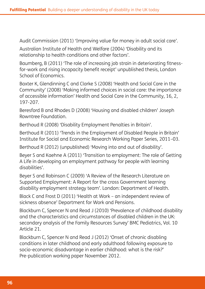Audit Commission (2011) 'Improving value for money in adult social care'.

Australian Institute of Health and Welfare (2004) 'Disability and its relationship to health conditions and other factors'.

Baumberg, B (2011) 'The role of increasing job strain in deteriorating fitnessfor-work and rising incapacity benefit receipt' unpublished thesis, London School of Economics.

Baxter K, Glendinning C and Clarke S (2008) 'Health and Social Care in the Community' (2008) 'Making informed choices in social care: the importance of accessible information' Health and Social Care in the Community, 16, 2, 197-207.

Beresford B and Rhodes D (2008) 'Housing and disabled children' Joseph Rowntree Foundation.

Berthoud R (2008) 'Disability Employment Penalties in Britain'.

Berthoud R (2011) 'Trends in the Employment of Disabled People in Britain' Institute for Social and Economic Research Working Paper Series, 2011–03.

Berthoud R (2012) (unpublished) 'Moving into and out of disability'.

Beyer S and Kaehne A (2011) 'Transition to employment: The role of Getting A Life in developing an employment pathway for people with learning disabilities'.

Beyer S and Robinson C (2009) 'A Review of the Research Literature on Supported Employment: A Report for the cross Government learning disability employment strategy team'. London: Department of Health.

Black C and Frost D (2011) 'Health at Work – an independent review of sickness absence' Department for Work and Pensions.

Blackburn C, Spencer N and Read J (2010) 'Prevalence of childhood disability and the characteristics and circumstances of disabled children in the UK: secondary analysis of the Family Resources Survey' BMC Pediatrics, Vol. 10 Article 21.

Blackburn C, Spencer N and Read J (2012) 'Onset of chronic disabling conditions in later childhood and early adulthood following exposure to socio-economic disadvantage in earlier childhood: what is the risk?' Pre-publication working paper November 2012.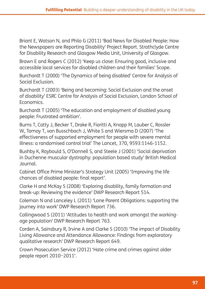Briant E, Watson N, and Philo G (2011) 'Bad News for Disabled People: How the Newspapers are Reporting Disability' Project Report. Strathclyde Centre for Disability Research and Glasgow Media Unit, University of Glasgow.

Brawn E and Rogers C (2012) 'Keep us close: Ensuring good, inclusive and accessible local services for disabled children and their families' Scope.

Burchardt T (2000) 'The Dynamics of being disabled' Centre for Analysis of Social Exclusion.

Burchardt T (2003) 'Being and becoming: Social Exclusion and the onset of disability' ESRC Centre for Analysis of Social Exclusion, London School of Economics.

Burchardt T (2005) 'The education and employment of disabled young people: Frustrated ambition'.

Burns T, Catty J, Becker T, Drake R, Fioritti A, Knapp M, Lauber C, Rossler W, Tomoy T, van Busschbach J, White S and Wiersma D (2007) 'The effectiveness of supported employment for people with severe mental illness: a randomised control trial' The Lancet, 370, 9593:1146-1152.

Bushby K, Raybould S, O'Donnell S, and Steele J (2001) 'Social deprivation in Duchenne muscular dystrophy: population based study' British Medical Journal.

Cabinet Office Prime Minister's Strategy Unit (2005) 'Improving the life chances of disabled people: final report'.

Clarke H and McKay S (2008) 'Exploring disability, family formation and break-up: Reviewing the evidence' DWP Research Report 514.

Coleman N and Lanceley L (2011) 'Lone Parent Obligations: supporting the journey into work' DWP Research Report 736.

Collingwood S (2011) 'Attitudes to health and work amongst the workingage population' DWP Research Report 763.

Corden A, Sainsbury R, Irvine A and Clarke S (2010) 'The impact of Disability Living Allowance and Attendance Allowance: Findings from exploratory qualitative research' DWP Research Report 649.

Crown Prosecution Service (2012) 'Hate crime and crimes against older people report 2010−2011'.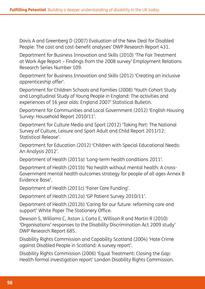Davis A and Greenberg D (2007) Evaluation of the New Deal for Disabled People: The cost and cost-benefit analyses' DWP Research Report 431.

Department for Business Innovation and Skills (2010) 'The Fair Treatment at Work Age Report – Findings from the 2008 survey' Employment Relations Research Series Number 109.

Department for Business Innovation and Skills (2012) 'Creating an inclusive apprenticeship offer'.

Department for Children Schools and Families (2008) 'Youth Cohort Study and Longitudinal Study of Young People in England: The activities and experiences of 16 year olds: England 2007' Statistical Bulletin.

Department for Communities and Local Government (2012) 'English Housing Survey: Household Report 2010/11'.

Department for Culture Media and Sport (2012) 'Taking Part: The National Survey of Culture, Leisure and Sport Adult and Child Report 2011/12: Statistical Release'.

Department for Education (2012) 'Children with Special Educational Needs: An Analysis 2012'.

Department of Health (2011a) 'Long-term health conditions 2011'.

Department of Health (2011b) 'No health without mental health: A cross-Government mental health outcomes strategy for people of all ages Annex B Evidence Base'.

Department of Health (2011c) 'Fairer Care Funding'.

Department of Health (2012a) 'GP Patient Survey 2010/11'.

Department of Health (2012b) 'Caring for our future: reforming care and support' White Paper The Stationery Office.

Dewson S, Williams C, Aston J, Carta E, Willison R and Martin R (2010) 'Organisations' responses to the Disability Discrimination Act 2009 study' DWP Research Report 685.

Disability Rights Commission and Capability Scotland (2004) 'Hate Crime against Disabled People in Scotland: A survey report'.

Disability Rights Commission (2006) 'Equal Treatment: Closing the Gap: Health formal investigation report' London Disability Rights Commission.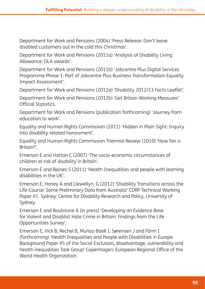Department for Work and Pensions (2004) 'Press Release: Don't leave disabled customers out in the cold this Christmas'.

Department for Work and Pensions (2011a) 'Analysis of Disability Living Allowance: DLA awards'.

Department for Work and Pensions (2011b) 'Jobcentre Plus Digital Services Programme Phase 1: Part of Jobcentre Plus Business Transformation Equality Impact Assessment'.

Department for Work and Pensions (2012a) 'Disability 2012/13 Facts Leaflet'.

Department for Work and Pensions (2012b) 'Get Britain Working Measures' Official Statistics.

Department for Work and Pensions (publication forthcoming) 'Journey from education to work'.

Equality and Human Rights Commission (2011) 'Hidden in Plain Sight: Inquiry into disability-related harassment'.

Equality and Human Rights Commission Triennial Review (2010) 'How fair is Britain?'.

Emerson E and Hatton C (2007) 'The socio-economic circumstances of children at risk of disability in Britain'.

Emerson E and Baines S (2011) 'Health Inequalities and people with learning disabilities in the UK'.

Emerson E, Honey A and Llewellyn, G (2012) 'Disability Transitions across the Life-Course: Some Preliminary Data from Australia' CDRP Technical Working Paper #1. Sydney: Centre for Disability Research and Policy, University of Sydney.

Emerson E and Roulstone A (in press) 'Developing an Evidence Base for Violent and Disablist Hate Crime in Britain: Findings from the Life Opportunities Survey'.

Emerson E, Vick B, Rechel B, Muñoz-Baell I, Sørensen J and Färm I (forthcoming) 'Health Inequalities and People with Disabilities in Europe. Background Paper #5 of the Social Exclusion, disadvantage, vulnerability and health inequalities Task Group' Copenhagen: European Regional Office of the World Health Organization.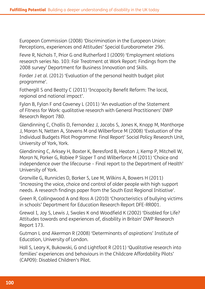European Commission (2008) 'Discrimination in the European Union: Perceptions, experiences and Attitudes' Special Eurobarometer 296.

Fevre R, Nichols T, Prior G and Rutherford I (2009) 'Employment relations research series No. 103: Fair Treatment at Work Report: Findings from the 2008 survey' Department for Business Innovation and Skills.

Forder J *et al.* (2012) 'Evaluation of the personal health budget pilot programme'.

Fothergill S and Beatty C (2011) 'Incapacity Benefit Reform: The local, regional and national impact'.

Fylan B, Fylan F and Caveney L (2011) 'An evaluation of the Statement of Fitness for Work: qualitative research with General Practitioners' DWP Research Report 780.

Glendinning C, Challis D, Fernandez J, Jacobs S, Jones K, Knapp M, Manthorpe J, Moran N, Netten A, Stevens M and Wilberforce M (2008) 'Evaluation of the Individual Budgets Pilot Programme: Final Report' Social Policy Research Unit, University of York, York.

Glendinning C, Arksey H, Baxter K, Beresford B, Heaton J, Kemp P, Mitchell W, Moran N, Parker G, Rabiee P Sloper T and Wilberforce M (2011) 'Choice and independence over the lifecourse – Final report to the Department of Health' University of York.

Granville G, Runnicles D, Barker S, Lee M, Wilkins A, Bowers H (2011) 'Increasing the voice, choice and control of older people with high support needs. A research findings paper from the South East Regional Initiative'.

Green R, Collingwood A and Ross A (2010) 'Characteristics of bullying victims in schools' Department for Education Research Report DFE-RR001.

Grewal I, Joy S, Lewis J, Swales K and Woodfield K (2002) 'Disabled for Life? Attitudes towards and experiences of, disability in Britain' DWP Research Report 173.

Gutman L and Akerman R (2008) 'Determinants of aspirations' Institute of Education, University of London.

Hall S, Leary K, Bukowski, G and Lightfoot R (2011) 'Qualitative research into families' experiences and behaviours in the Childcare Affordability Pilots' (CAP09): Disabled Children's Pilot.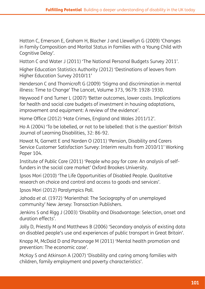Hatton C, Emerson E, Graham H, Blacher J and Llewellyn G (2009) 'Changes in Family Composition and Marital Status in Families with a Young Child with Cognitive Delay'.

Hatton C and Water J (2011) 'The National Personal Budgets Survey 2011'.

Higher Education Statistics Authority (2012) 'Destinations of leavers from Higher Education Survey 2010/11'

Henderson C and Thornicroft G (2009) 'Stigma and discrimination in mental illness: Time to Change' The Lancet, Volume 373, 9679: 1928-1930.

Heywood F and Turner L (2007) *'*Better outcomes, lower costs. Implications for health and social care budgets of investment in housing adaptations, improvement and equipment: A review of the evidence'.

Home Office (2012) 'Hate Crimes, England and Wales 2011/12'.

Ho A (2004) 'To be labelled, or not to be labelled: that is the question' British Journal of Learning Disabilities, 32: 86-92.

Howat N, Garnett E and Norden O (2011) 'Pension, Disability and Carers Service Customer Satisfaction Survey: Interim results from 2010/11' Working Paper 104.

Institute of Public Care (2011) 'People who pay for care: An analysis of selffunders in the social care market' Oxford Brookes University.

Ipsos Mori (2010) 'The Life Opportunities of Disabled People. Qualitative research on choice and control and access to goods and services'.

Ipsos Mori (2012) Paralympics Poll.

Jahoda *et al.* (1972) 'Marienthal: The Sociography of an unemployed community' New Jersey: Transaction Publishers.

Jenkins S and Rigg J (2003) 'Disability and Disadvantage: Selection, onset and duration effects'.

Jolly D, Priestly M and Matthews B (2006) 'Secondary analysis of existing data on disabled people's use and experiences of public transport in Great Britain'.

Knapp M, McDaid D and Parsonage M (2011) 'Mental health promotion and prevention: The economic case'.

McKay S and Atkinson A (2007) 'Disability and caring among families with children, family employment and poverty characteristics'.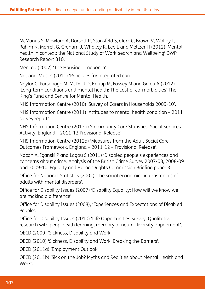McManus S, Mowlam A, Dorsett R, Stansfeld S, Clark C, Brown V, Wollny I, Rahim N, Morrell G, Graham J, Whalley R, Lee L and Meltzer H (2012) 'Mental health in context: the National Study of Work-search and Wellbeing' DWP Research Report 810.

Mencap (2002) 'The Housing Timebomb'.

National Voices (2011) 'Principles for integrated care'.

Naylor C, Parsonage M, McDaid D, Knapp M, Fossey M and Galea A (2012) 'Long-term conditions and mental health: The cost of co-morbidities' The King's Fund and Centre for Mental Health.

NHS Information Centre (2010) 'Survey of Carers in Households 2009-10'.

NHS Information Centre (2011) 'Attitudes to mental health condition *–* 2011 survey report'.

NHS Information Centre (2012a) 'Community Care Statistics: Social Services Activity, England *–* 2011-12 Provisional Release'.

NHS Information Centre (2012b) 'Measures from the Adult Social Care Outcomes Framework, England – 2011-12 *–* Provisional Release'.

Nocon A, Iganski P and Lagou S (2011) 'Disabled people's experiences and concerns about crime: Analysis of the British Crime Survey 2007-08, 2008-09 and 2009-10' Equality and Human Rights Commission Briefing paper 3.

Office for National Statistics (2002) 'The social economic circumstances of adults with mental disorders'.

Office for Disability Issues (2007) 'Disability Equality: How will we know we are making a difference'.

Office for Disability Issues (2008), 'Experiences and Expectations of Disabled People'.

Office for Disability Issues (2010) 'Life Opportunities Survey: Qualitative research with people with learning, memory or neuro-diversity impairment'.

OECD (2009) 'Sickness, Disability and Work'.

OECD (2010) 'Sickness, Disability and Work: Breaking the Barriers'.

OECD (2011a) 'Employment Outlook'.

OECD (2011b) 'Sick on the Job? Myths and Realities about Mental Health and Work'.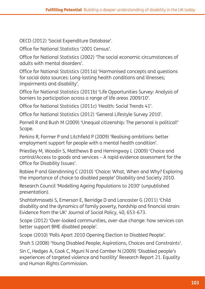OECD (2012) 'Social Expenditure Database'.

Office for National Statistics '2001 Census'.

Office for National Statistics (2002) 'The social economic circumstances of adults with mental disorders'.

Office for National Statistics (2011a) 'Harmonised concepts and questions for social data sources: Long-lasting health conditions and illnesses; impairments and disability'.

Office for National Statistics (2011b) 'Life Opportunities Survey: Analysis of barriers to participation across a range of life areas 2009/10'.

Office for National Statistics (2011c) 'Health: Social Trends 41'.

Office for National Statistics (2012) 'General Lifestyle Survey 2010'.

Parnell R and Bush M (2009) 'Unequal citizenship: The personal is political!' Scope.

Perkins R, Farmer P and Litchfield P (2009) 'Realising ambitions: better employment support for people with a mental health condition'.

Priestley M, Woodin S, Matthews B and Hemingway L (2009) 'Choice and control/Access to goods and services – A rapid evidence assessment for the Office for Disability Issues'.

Rabiee P and Glendinning C (2010) 'Choice: What, When and Why? Exploring the importance of choice to disabled people' Disability and Society 2010.

Research Council 'Modelling Ageing Populations to 2030' (unpublished presentation).

Shahtahmasebi S, Emerson E, Berridge D and Lancaster G (2011) 'Child disability and the dynamics of family poverty, hardship and financial strain: Evidence from the UK' Journal of Social Policy, 40, 653-673.

Scope (2012) 'Over-looked communities, over-due change: how services can better support BME disabled people'.

Scope (2010) 'Polls Apart 2010 Opening Election to Disabled People'.

Shah S (2008) 'Young Disabled People; Aspirations, Choices and Constraints'.

Sin C, Hedges A, Cook C, Mguni N and Comber N (2009) 'Disabled people's experiences of targeted violence and hostility' Research Report 21. Equality and Human Rights Commission.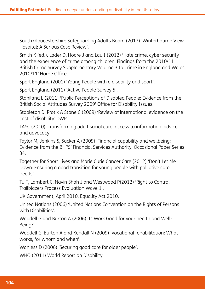South Gloucestershire Safeguarding Adults Board (2012) 'Winterbourne View Hospital: A Serious Case Review'.

Smith K (ed.), Lader D, Hoare J and Lau I (2012) 'Hate crime, cyber security and the experience of crime among children: Findings from the 2010/11 British Crime Survey Supplementary Volume 3 to Crime in England and Wales 2010/11' Home Office.

Sport England (2001) 'Young People with a disability and sport'.

Sport England (2011) 'Active People Survey 5'.

Staniland L (2011) 'Public Perceptions of Disabled People: Evidence from the British Social Attitudes Survey 2009' Office for Disability Issues.

Stapleton D, Protik A Stone C (2009) 'Review of international evidence on the cost of disability' DWP.

TASC (2010) 'Transforming adult social care: access to information, advice and advocacy'.

Taylor M, Jenkins S, Sacker A (2009) 'Financial capability and wellbeing: Evidence from the BHPS' Financial Services Authority, Occasional Paper Series 34.

Together for Short Lives and Marie Curie Cancer Care (2012) 'Don't Let Me Down: Ensuring a good transition for young people with palliative care needs'.

Tu T, Lambert C, Navin Shah J and Westwood P(2012) 'Right to Control Trailblazers Process Evaluation Wave 1'.

UK Government, April 2010, Equality Act 2010.

United Nations (2006) 'United Nations Convention on the Rights of Persons with Disabilities'.

Waddell G and Burton A (2006) 'Is Work Good for your health and Well-Being?'.

Waddell G, Burton A and Kendall N (2009) 'Vocational rehabilitation: What works, for whom and when'.

Wanless D (2006) 'Securing good care for older people'.

WHO (2011) World Report on Disability.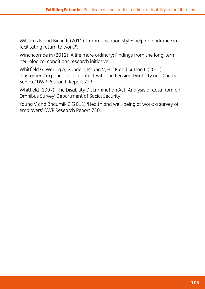Williams N and Birkin R (2011) 'Communication style: help or hindrance in facilitating return to work?'.

Winchcombe M (2012) 'A life more ordinary: Findings from the long-term neurological conditions research initiative'.

Whitfield G, Waring A, Goode J, Phung V, Hill K and Sutton L (2011) 'Customers' experiences of contact with the Pension Disability and Carers Service' DWP Research Report 722.

Whitfield (1997) 'The Disability Discrimination Act: Analysis of data from an Omnibus Survey' Department of Social Security.

Young V and Bhaumik C (2011) 'Health and well-being at work: a survey of employers' DWP Research Report 750.